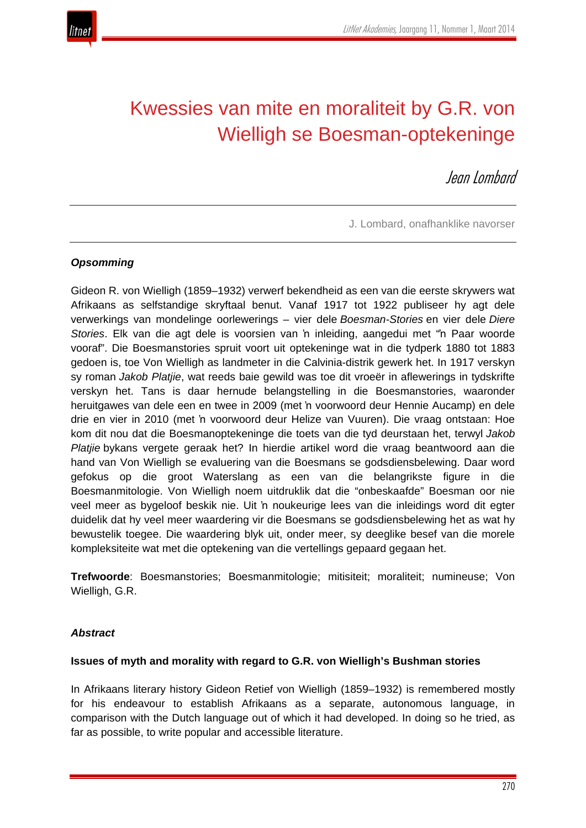

# Kwessies van mite en moraliteit by G.R. von Wielligh se Boesman-optekeninge

Jean Lombard

J. Lombard, onafhanklike navorser

#### *Opsomming*

Gideon R. von Wielligh (1859–1932) verwerf bekendheid as een van die eerste skrywers wat Afrikaans as selfstandige skryftaal benut. Vanaf 1917 tot 1922 publiseer hy agt dele verwerkings van mondelinge oorlewerings – vier dele *Boesman-Stories* en vier dele *Diere Stories*. Elk van die agt dele is voorsien van 'n inleiding, aangedui met "'n Paar woorde vooraf". Die Boesmanstories spruit voort uit optekeninge wat in die tydperk 1880 tot 1883 gedoen is, toe Von Wielligh as landmeter in die Calvinia-distrik gewerk het. In 1917 verskyn sy roman *Jakob Platjie*, wat reeds baie gewild was toe dit vroeër in aflewerings in tydskrifte verskyn het. Tans is daar hernude belangstelling in die Boesmanstories, waaronder heruitgawes van dele een en twee in 2009 (met 'n voorwoord deur Hennie Aucamp) en dele drie en vier in 2010 (met 'n voorwoord deur Helize van Vuuren). Die vraag ontstaan: Hoe kom dit nou dat die Boesmanoptekeninge die toets van die tyd deurstaan het, terwyl *Jakob Platjie* bykans vergete geraak het? In hierdie artikel word die vraag beantwoord aan die hand van Von Wielligh se evaluering van die Boesmans se godsdiensbelewing. Daar word gefokus op die groot Waterslang as een van die belangrikste figure in die Boesmanmitologie. Von Wielligh noem uitdruklik dat die "onbeskaafde" Boesman oor nie veel meer as bygeloof beskik nie. Uit 'n noukeurige lees van die inleidings word dit egter duidelik dat hy veel meer waardering vir die Boesmans se godsdiensbelewing het as wat hy bewustelik toegee. Die waardering blyk uit, onder meer, sy deeglike besef van die morele kompleksiteite wat met die optekening van die vertellings gepaard gegaan het.

**Trefwoorde**: Boesmanstories; Boesmanmitologie; mitisiteit; moraliteit; numineuse; Von Wielligh, G.R.

#### *Abstract*

#### **Issues of myth and morality with regard to G.R. von Wielligh's Bushman stories**

In Afrikaans literary history Gideon Retief von Wielligh (1859–1932) is remembered mostly for his endeavour to establish Afrikaans as a separate, autonomous language, in comparison with the Dutch language out of which it had developed. In doing so he tried, as far as possible, to write popular and accessible literature.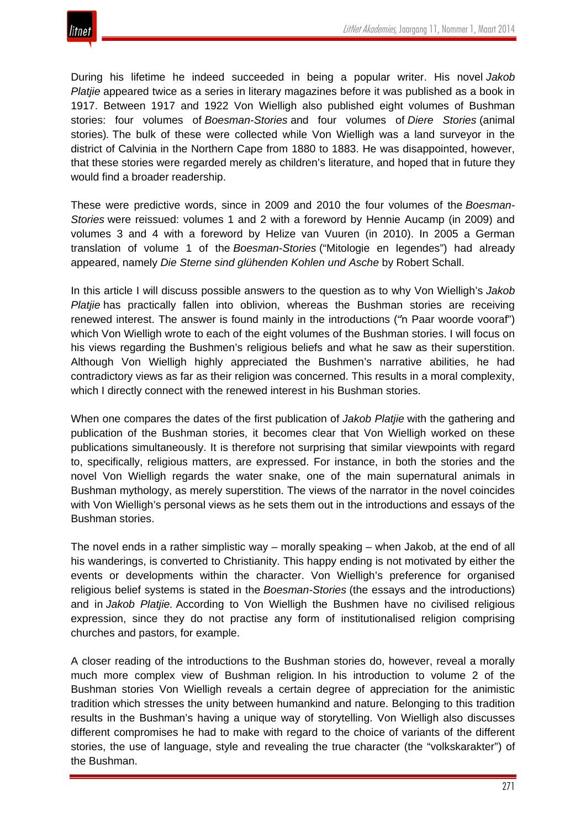During his lifetime he indeed succeeded in being a popular writer. His novel *Jakob Platjie* appeared twice as a series in literary magazines before it was published as a book in 1917. Between 1917 and 1922 Von Wielligh also published eight volumes of Bushman stories: four volumes of *Boesman-Stories* and four volumes of *Diere Stories* (animal stories)*.* The bulk of these were collected while Von Wielligh was a land surveyor in the district of Calvinia in the Northern Cape from 1880 to 1883. He was disappointed, however, that these stories were regarded merely as children's literature, and hoped that in future they would find a broader readership.

These were predictive words, since in 2009 and 2010 the four volumes of the *Boesman-Stories* were reissued: volumes 1 and 2 with a foreword by Hennie Aucamp (in 2009) and volumes 3 and 4 with a foreword by Helize van Vuuren (in 2010). In 2005 a German translation of volume 1 of the *Boesman-Stories* ("Mitologie en legendes") had already appeared, namely *Die Sterne sind glühenden Kohlen und Asche* by Robert Schall.

In this article I will discuss possible answers to the question as to why Von Wielligh's *Jakob Platjie* has practically fallen into oblivion, whereas the Bushman stories are receiving renewed interest. The answer is found mainly in the introductions ("'n Paar woorde vooraf") which Von Wielligh wrote to each of the eight volumes of the Bushman stories. I will focus on his views regarding the Bushmen's religious beliefs and what he saw as their superstition. Although Von Wielligh highly appreciated the Bushmen's narrative abilities, he had contradictory views as far as their religion was concerned. This results in a moral complexity, which I directly connect with the renewed interest in his Bushman stories.

When one compares the dates of the first publication of *Jakob Platjie* with the gathering and publication of the Bushman stories, it becomes clear that Von Wielligh worked on these publications simultaneously. It is therefore not surprising that similar viewpoints with regard to, specifically, religious matters, are expressed. For instance, in both the stories and the novel Von Wielligh regards the water snake, one of the main supernatural animals in Bushman mythology, as merely superstition. The views of the narrator in the novel coincides with Von Wielligh's personal views as he sets them out in the introductions and essays of the Bushman stories.

The novel ends in a rather simplistic way – morally speaking – when Jakob, at the end of all his wanderings, is converted to Christianity. This happy ending is not motivated by either the events or developments within the character. Von Wielligh's preference for organised religious belief systems is stated in the *Boesman-Stories* (the essays and the introductions) and in *Jakob Platjie.* According to Von Wielligh the Bushmen have no civilised religious expression, since they do not practise any form of institutionalised religion comprising churches and pastors, for example.

A closer reading of the introductions to the Bushman stories do, however, reveal a morally much more complex view of Bushman religion*.* In his introduction to volume 2 of the Bushman stories Von Wielligh reveals a certain degree of appreciation for the animistic tradition which stresses the unity between humankind and nature. Belonging to this tradition results in the Bushman's having a unique way of storytelling. Von Wielligh also discusses different compromises he had to make with regard to the choice of variants of the different stories, the use of language, style and revealing the true character (the "volkskarakter") of the Bushman.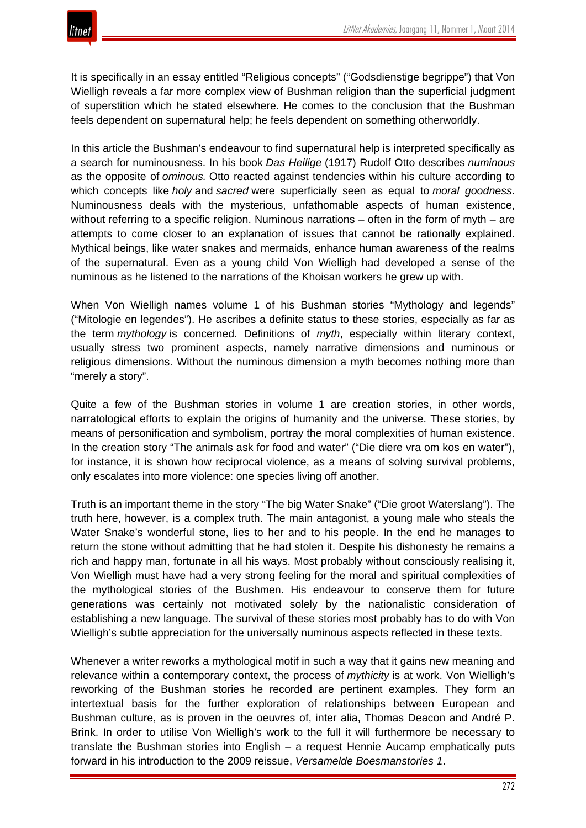

It is specifically in an essay entitled "Religious concepts" ("Godsdienstige begrippe") that Von Wielligh reveals a far more complex view of Bushman religion than the superficial judgment of superstition which he stated elsewhere. He comes to the conclusion that the Bushman feels dependent on supernatural help; he feels dependent on something otherworldly.

In this article the Bushman's endeavour to find supernatural help is interpreted specifically as a search for numinousness. In his book *Das Heilige* (1917) Rudolf Otto describes *numinous* as the opposite of *ominous.* Otto reacted against tendencies within his culture according to which concepts like *holy* and *sacred* were superficially seen as equal to *moral goodness*. Numinousness deals with the mysterious, unfathomable aspects of human existence, without referring to a specific religion. Numinous narrations – often in the form of myth – are attempts to come closer to an explanation of issues that cannot be rationally explained. Mythical beings, like water snakes and mermaids, enhance human awareness of the realms of the supernatural. Even as a young child Von Wielligh had developed a sense of the numinous as he listened to the narrations of the Khoisan workers he grew up with.

When Von Wielligh names volume 1 of his Bushman stories "Mythology and legends" ("Mitologie en legendes"). He ascribes a definite status to these stories, especially as far as the term *mythology* is concerned. Definitions of *myth*, especially within literary context, usually stress two prominent aspects, namely narrative dimensions and numinous or religious dimensions. Without the numinous dimension a myth becomes nothing more than "merely a story".

Quite a few of the Bushman stories in volume 1 are creation stories, in other words, narratological efforts to explain the origins of humanity and the universe. These stories, by means of personification and symbolism, portray the moral complexities of human existence. In the creation story "The animals ask for food and water" ("Die diere vra om kos en water"), for instance, it is shown how reciprocal violence, as a means of solving survival problems, only escalates into more violence: one species living off another.

Truth is an important theme in the story "The big Water Snake" ("Die groot Waterslang"). The truth here, however, is a complex truth. The main antagonist, a young male who steals the Water Snake's wonderful stone, lies to her and to his people. In the end he manages to return the stone without admitting that he had stolen it. Despite his dishonesty he remains a rich and happy man, fortunate in all his ways. Most probably without consciously realising it, Von Wielligh must have had a very strong feeling for the moral and spiritual complexities of the mythological stories of the Bushmen. His endeavour to conserve them for future generations was certainly not motivated solely by the nationalistic consideration of establishing a new language. The survival of these stories most probably has to do with Von Wielligh's subtle appreciation for the universally numinous aspects reflected in these texts.

Whenever a writer reworks a mythological motif in such a way that it gains new meaning and relevance within a contemporary context, the process of *mythicity* is at work. Von Wielligh's reworking of the Bushman stories he recorded are pertinent examples. They form an intertextual basis for the further exploration of relationships between European and Bushman culture, as is proven in the oeuvres of, inter alia, Thomas Deacon and André P. Brink. In order to utilise Von Wielligh's work to the full it will furthermore be necessary to translate the Bushman stories into English – a request Hennie Aucamp emphatically puts forward in his introduction to the 2009 reissue, *Versamelde Boesmanstories 1*.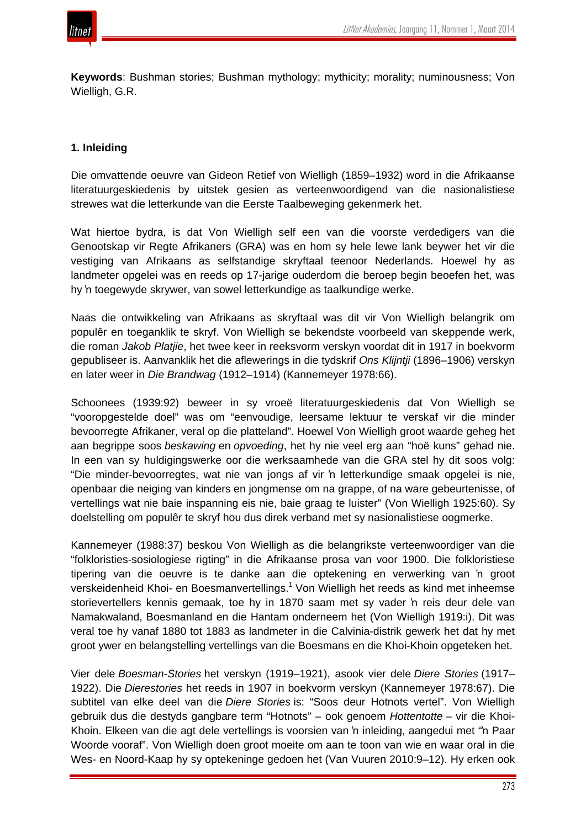

**Keywords**: Bushman stories; Bushman mythology; mythicity; morality; numinousness; Von Wielligh, G.R.

#### **1. Inleiding**

Die omvattende oeuvre van Gideon Retief von Wielligh (1859–1932) word in die Afrikaanse literatuurgeskiedenis by uitstek gesien as verteenwoordigend van die nasionalistiese strewes wat die letterkunde van die Eerste Taalbeweging gekenmerk het.

Wat hiertoe bydra, is dat Von Wielligh self een van die voorste verdedigers van die Genootskap vir Regte Afrikaners (GRA) was en hom sy hele lewe lank beywer het vir die vestiging van Afrikaans as selfstandige skryftaal teenoor Nederlands. Hoewel hy as landmeter opgelei was en reeds op 17-jarige ouderdom die beroep begin beoefen het, was hy 'n toegewyde skrywer, van sowel letterkundige as taalkundige werke.

Naas die ontwikkeling van Afrikaans as skryftaal was dit vir Von Wielligh belangrik om populêr en toeganklik te skryf. Von Wielligh se bekendste voorbeeld van skeppende werk, die roman *Jakob Platjie*, het twee keer in reeksvorm verskyn voordat dit in 1917 in boekvorm gepubliseer is. Aanvanklik het die aflewerings in die tydskrif *Ons Klijntji* (1896–1906) verskyn en later weer in *Die Brandwag* (1912–1914) (Kannemeyer 1978:66).

Schoonees (1939:92) beweer in sy vroeë literatuurgeskiedenis dat Von Wielligh se "vooropgestelde doel" was om "eenvoudige, leersame lektuur te verskaf vir die minder bevoorregte Afrikaner, veral op die platteland". Hoewel Von Wielligh groot waarde geheg het aan begrippe soos *beskawing* en *opvoeding*, het hy nie veel erg aan "hoë kuns" gehad nie. In een van sy huldigingswerke oor die werksaamhede van die GRA stel hy dit soos volg: "Die minder-bevoorregtes, wat nie van jongs af vir 'n letterkundige smaak opgelei is nie, openbaar die neiging van kinders en jongmense om na grappe, of na ware gebeurtenisse, of vertellings wat nie baie inspanning eis nie, baie graag te luister" (Von Wielligh 1925:60). Sy doelstelling om populêr te skryf hou dus direk verband met sy nasionalistiese oogmerke.

Kannemeyer (1988:37) beskou Von Wielligh as die belangrikste verteenwoordiger van die "folkloristies-sosiologiese rigting" in die Afrikaanse prosa van voor 1900. Die folkloristiese tipering van die oeuvre is te danke aan die optekening en verwerking van 'n groot verskeidenheid Khoi- en Boesmanvertellings.1 Von Wielligh het reeds as kind met inheemse storievertellers kennis gemaak, toe hy in 1870 saam met sy vader 'n reis deur dele van Namakwaland, Boesmanland en die Hantam onderneem het (Von Wielligh 1919:i). Dit was veral toe hy vanaf 1880 tot 1883 as landmeter in die Calvinia-distrik gewerk het dat hy met groot ywer en belangstelling vertellings van die Boesmans en die Khoi-Khoin opgeteken het.

Vier dele *Boesman-Stories* het verskyn (1919–1921), asook vier dele *Diere Stories* (1917– 1922). Die *Dierestories* het reeds in 1907 in boekvorm verskyn (Kannemeyer 1978:67). Die subtitel van elke deel van die *Diere Stories* is: "Soos deur Hotnots vertel". Von Wielligh gebruik dus die destyds gangbare term "Hotnots" – ook genoem *Hottentotte* – vir die Khoi-Khoin. Elkeen van die agt dele vertellings is voorsien van 'n inleiding, aangedui met "'n Paar Woorde vooraf". Von Wielligh doen groot moeite om aan te toon van wie en waar oral in die Wes- en Noord-Kaap hy sy optekeninge gedoen het (Van Vuuren 2010:9–12). Hy erken ook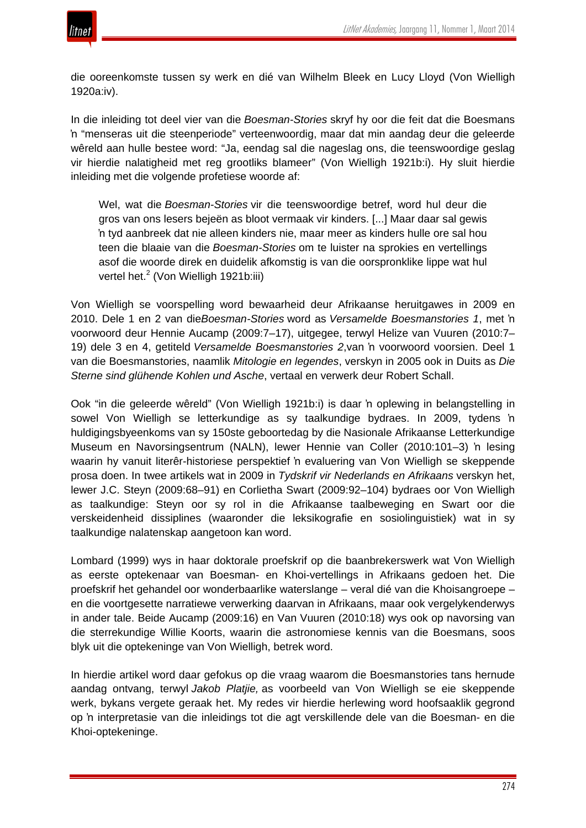

die ooreenkomste tussen sy werk en dié van Wilhelm Bleek en Lucy Lloyd (Von Wielligh 1920a:iv).

In die inleiding tot deel vier van die *Boesman-Stories* skryf hy oor die feit dat die Boesmans 'n "menseras uit die steenperiode" verteenwoordig, maar dat min aandag deur die geleerde wêreld aan hulle bestee word: "Ja, eendag sal die nageslag ons, die teenswoordige geslag vir hierdie nalatigheid met reg grootliks blameer" (Von Wielligh 1921b:i). Hy sluit hierdie inleiding met die volgende profetiese woorde af:

Wel, wat die *Boesman-Stories* vir die teenswoordige betref, word hul deur die gros van ons lesers bejeën as bloot vermaak vir kinders. [...] Maar daar sal gewis 'n tyd aanbreek dat nie alleen kinders nie, maar meer as kinders hulle ore sal hou teen die blaaie van die *Boesman-Stories* om te luister na sprokies en vertellings asof die woorde direk en duidelik afkomstig is van die oorspronklike lippe wat hul vertel het.<sup>2</sup> (Von Wielligh 1921b:iii)

Von Wielligh se voorspelling word bewaarheid deur Afrikaanse heruitgawes in 2009 en 2010. Dele 1 en 2 van die*Boesman-Stories* word as *Versamelde Boesmanstories 1*, met 'n voorwoord deur Hennie Aucamp (2009:7–17), uitgegee, terwyl Helize van Vuuren (2010:7– 19) dele 3 en 4, getiteld *Versamelde Boesmanstories 2*,van 'n voorwoord voorsien. Deel 1 van die Boesmanstories, naamlik *Mitologie en legendes*, verskyn in 2005 ook in Duits as *Die Sterne sind glühende Kohlen und Asche*, vertaal en verwerk deur Robert Schall.

Ook "in die geleerde wêreld" (Von Wielligh 1921b:i) is daar 'n oplewing in belangstelling in sowel Von Wielligh se letterkundige as sy taalkundige bydraes. In 2009, tydens 'n huldigingsbyeenkoms van sy 150ste geboortedag by die Nasionale Afrikaanse Letterkundige Museum en Navorsingsentrum (NALN), lewer Hennie van Coller (2010:101–3) 'n lesing waarin hy vanuit literêr-historiese perspektief 'n evaluering van Von Wielligh se skeppende prosa doen. In twee artikels wat in 2009 in *Tydskrif vir Nederlands en Afrikaans* verskyn het, lewer J.C. Steyn (2009:68–91) en Corlietha Swart (2009:92–104) bydraes oor Von Wielligh as taalkundige: Steyn oor sy rol in die Afrikaanse taalbeweging en Swart oor die verskeidenheid dissiplines (waaronder die leksikografie en sosiolinguistiek) wat in sy taalkundige nalatenskap aangetoon kan word.

Lombard (1999) wys in haar doktorale proefskrif op die baanbrekerswerk wat Von Wielligh as eerste optekenaar van Boesman- en Khoi-vertellings in Afrikaans gedoen het. Die proefskrif het gehandel oor wonderbaarlike waterslange – veral dié van die Khoisangroepe – en die voortgesette narratiewe verwerking daarvan in Afrikaans, maar ook vergelykenderwys in ander tale. Beide Aucamp (2009:16) en Van Vuuren (2010:18) wys ook op navorsing van die sterrekundige Willie Koorts, waarin die astronomiese kennis van die Boesmans, soos blyk uit die optekeninge van Von Wielligh, betrek word.

In hierdie artikel word daar gefokus op die vraag waarom die Boesmanstories tans hernude aandag ontvang, terwyl *Jakob Platjie,* as voorbeeld van Von Wielligh se eie skeppende werk, bykans vergete geraak het. My redes vir hierdie herlewing word hoofsaaklik gegrond op 'n interpretasie van die inleidings tot die agt verskillende dele van die Boesman- en die Khoi-optekeninge.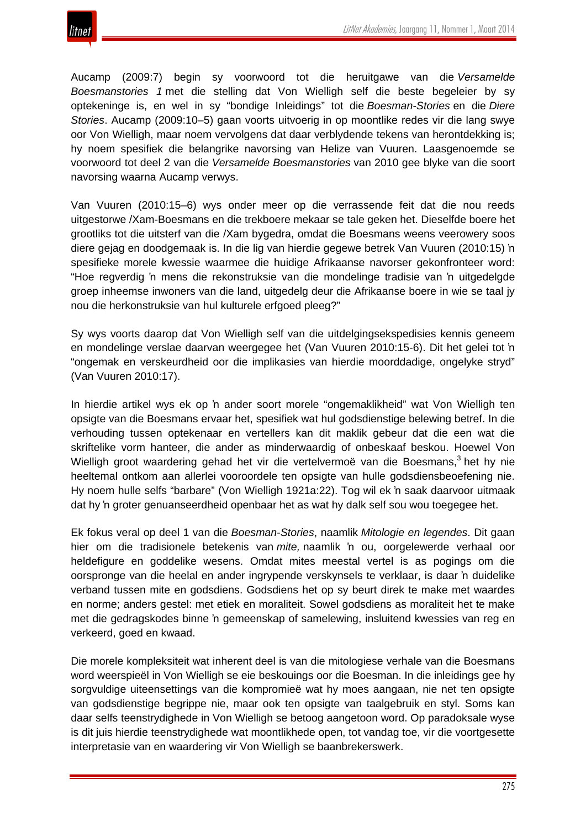

Aucamp (2009:7) begin sy voorwoord tot die heruitgawe van die *Versamelde Boesmanstories 1* met die stelling dat Von Wielligh self die beste begeleier by sy optekeninge is, en wel in sy "bondige Inleidings" tot die *Boesman-Stories* en die *Diere Stories*. Aucamp (2009:10–5) gaan voorts uitvoerig in op moontlike redes vir die lang swye oor Von Wielligh, maar noem vervolgens dat daar verblydende tekens van herontdekking is; hy noem spesifiek die belangrike navorsing van Helize van Vuuren. Laasgenoemde se voorwoord tot deel 2 van die *Versamelde Boesmanstories* van 2010 gee blyke van die soort navorsing waarna Aucamp verwys.

Van Vuuren (2010:15–6) wys onder meer op die verrassende feit dat die nou reeds uitgestorwe /Xam-Boesmans en die trekboere mekaar se tale geken het. Dieselfde boere het grootliks tot die uitsterf van die /Xam bygedra, omdat die Boesmans weens veerowery soos diere gejag en doodgemaak is. In die lig van hierdie gegewe betrek Van Vuuren (2010:15) 'n spesifieke morele kwessie waarmee die huidige Afrikaanse navorser gekonfronteer word: "Hoe regverdig 'n mens die rekonstruksie van die mondelinge tradisie van 'n uitgedelgde groep inheemse inwoners van die land, uitgedelg deur die Afrikaanse boere in wie se taal jy nou die herkonstruksie van hul kulturele erfgoed pleeg?"

Sy wys voorts daarop dat Von Wielligh self van die uitdelgingsekspedisies kennis geneem en mondelinge verslae daarvan weergegee het (Van Vuuren 2010:15-6). Dit het gelei tot 'n "ongemak en verskeurdheid oor die implikasies van hierdie moorddadige, ongelyke stryd" (Van Vuuren 2010:17).

In hierdie artikel wys ek op 'n ander soort morele "ongemaklikheid" wat Von Wielligh ten opsigte van die Boesmans ervaar het, spesifiek wat hul godsdienstige belewing betref. In die verhouding tussen optekenaar en vertellers kan dit maklik gebeur dat die een wat die skriftelike vorm hanteer, die ander as minderwaardig of onbeskaaf beskou. Hoewel Von Wielligh groot waardering gehad het vir die vertelvermoë van die Boesmans, $3$  het hy nie heeltemal ontkom aan allerlei vooroordele ten opsigte van hulle godsdiensbeoefening nie. Hy noem hulle selfs "barbare" (Von Wielligh 1921a:22). Tog wil ek 'n saak daarvoor uitmaak dat hy 'n groter genuanseerdheid openbaar het as wat hy dalk self sou wou toegegee het.

Ek fokus veral op deel 1 van die *Boesman-Stories*, naamlik *Mitologie en legendes*. Dit gaan hier om die tradisionele betekenis van *mite,* naamlik 'n ou, oorgelewerde verhaal oor heldefigure en goddelike wesens. Omdat mites meestal vertel is as pogings om die oorspronge van die heelal en ander ingrypende verskynsels te verklaar, is daar 'n duidelike verband tussen mite en godsdiens. Godsdiens het op sy beurt direk te make met waardes en norme; anders gestel: met etiek en moraliteit. Sowel godsdiens as moraliteit het te make met die gedragskodes binne 'n gemeenskap of samelewing, insluitend kwessies van reg en verkeerd, goed en kwaad.

Die morele kompleksiteit wat inherent deel is van die mitologiese verhale van die Boesmans word weerspieël in Von Wielligh se eie beskouings oor die Boesman. In die inleidings gee hy sorgvuldige uiteensettings van die kompromieë wat hy moes aangaan, nie net ten opsigte van godsdienstige begrippe nie, maar ook ten opsigte van taalgebruik en styl. Soms kan daar selfs teenstrydighede in Von Wielligh se betoog aangetoon word. Op paradoksale wyse is dit juis hierdie teenstrydighede wat moontlikhede open, tot vandag toe, vir die voortgesette interpretasie van en waardering vir Von Wielligh se baanbrekerswerk.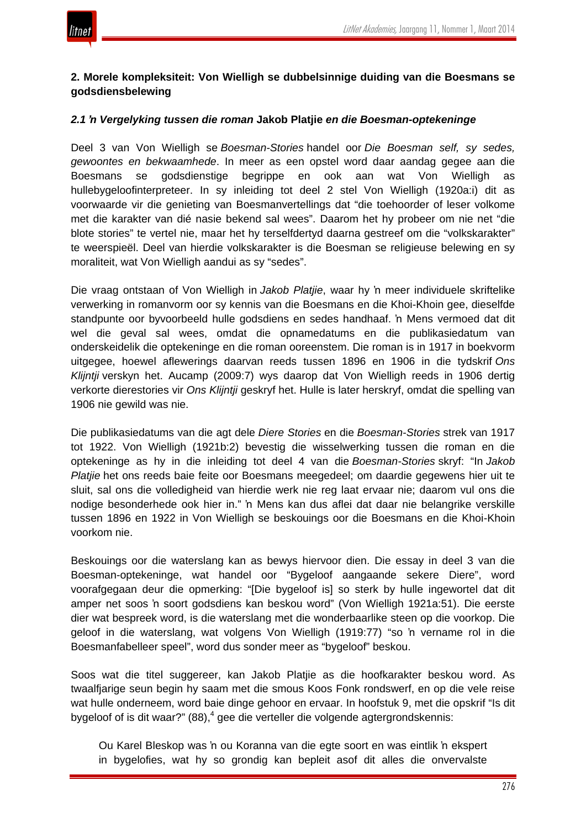

## **2. Morele kompleksiteit: Von Wielligh se dubbelsinnige duiding van die Boesmans se godsdiensbelewing**

#### *2.1 'n Vergelyking tussen die roman* **Jakob Platjie** *en die Boesman-optekeninge*

Deel 3 van Von Wielligh se *Boesman-Stories* handel oor *Die Boesman self, sy sedes, gewoontes en bekwaamhede*. In meer as een opstel word daar aandag gegee aan die Boesmans se godsdienstige begrippe en ook aan wat Von Wielligh as hullebygeloofinterpreteer. In sy inleiding tot deel 2 stel Von Wielligh (1920a:i) dit as voorwaarde vir die genieting van Boesmanvertellings dat "die toehoorder of leser volkome met die karakter van dié nasie bekend sal wees". Daarom het hy probeer om nie net "die blote stories" te vertel nie, maar het hy terselfdertyd daarna gestreef om die "volkskarakter" te weerspieël. Deel van hierdie volkskarakter is die Boesman se religieuse belewing en sy moraliteit, wat Von Wielligh aandui as sy "sedes".

Die vraag ontstaan of Von Wielligh in *Jakob Platjie*, waar hy 'n meer individuele skriftelike verwerking in romanvorm oor sy kennis van die Boesmans en die Khoi-Khoin gee, dieselfde standpunte oor byvoorbeeld hulle godsdiens en sedes handhaaf. 'n Mens vermoed dat dit wel die geval sal wees, omdat die opnamedatums en die publikasiedatum van onderskeidelik die optekeninge en die roman ooreenstem. Die roman is in 1917 in boekvorm uitgegee, hoewel aflewerings daarvan reeds tussen 1896 en 1906 in die tydskrif *Ons Klijntji* verskyn het. Aucamp (2009:7) wys daarop dat Von Wielligh reeds in 1906 dertig verkorte dierestories vir *Ons Klijntji* geskryf het. Hulle is later herskryf, omdat die spelling van 1906 nie gewild was nie.

Die publikasiedatums van die agt dele *Diere Stories* en die *Boesman-Stories* strek van 1917 tot 1922. Von Wielligh (1921b:2) bevestig die wisselwerking tussen die roman en die optekeninge as hy in die inleiding tot deel 4 van die *Boesman-Stories* skryf: "In *Jakob Platjie* het ons reeds baie feite oor Boesmans meegedeel; om daardie gegewens hier uit te sluit, sal ons die volledigheid van hierdie werk nie reg laat ervaar nie; daarom vul ons die nodige besonderhede ook hier in." 'n Mens kan dus aflei dat daar nie belangrike verskille tussen 1896 en 1922 in Von Wielligh se beskouings oor die Boesmans en die Khoi-Khoin voorkom nie.

Beskouings oor die waterslang kan as bewys hiervoor dien. Die essay in deel 3 van die Boesman-optekeninge, wat handel oor "Bygeloof aangaande sekere Diere", word voorafgegaan deur die opmerking: "[Die bygeloof is] so sterk by hulle ingewortel dat dit amper net soos 'n soort godsdiens kan beskou word" (Von Wielligh 1921a:51). Die eerste dier wat bespreek word, is die waterslang met die wonderbaarlike steen op die voorkop. Die geloof in die waterslang, wat volgens Von Wielligh (1919:77) "so 'n vername rol in die Boesmanfabelleer speel", word dus sonder meer as "bygeloof" beskou.

Soos wat die titel suggereer, kan Jakob Platjie as die hoofkarakter beskou word. As twaalfjarige seun begin hy saam met die smous Koos Fonk rondswerf, en op die vele reise wat hulle onderneem, word baie dinge gehoor en ervaar. In hoofstuk 9, met die opskrif "Is dit bygeloof of is dit waar?"  $(88)$ ,<sup>4</sup> gee die verteller die volgende agtergrondskennis:

Ou Karel Bleskop was 'n ou Koranna van die egte soort en was eintlik 'n ekspert in bygelofies, wat hy so grondig kan bepleit asof dit alles die onvervalste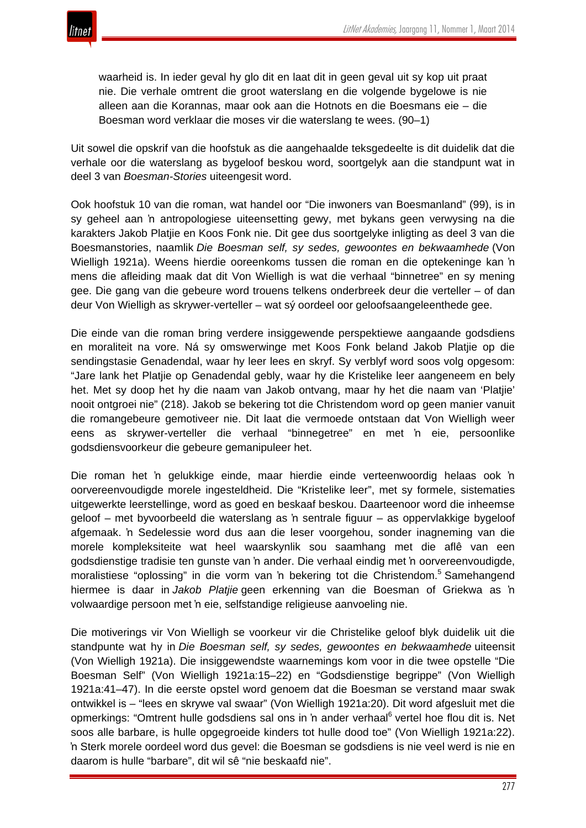

waarheid is. In ieder geval hy glo dit en laat dit in geen geval uit sy kop uit praat nie. Die verhale omtrent die groot waterslang en die volgende bygelowe is nie alleen aan die Korannas, maar ook aan die Hotnots en die Boesmans eie – die Boesman word verklaar die moses vir die waterslang te wees. (90–1)

Uit sowel die opskrif van die hoofstuk as die aangehaalde teksgedeelte is dit duidelik dat die verhale oor die waterslang as bygeloof beskou word, soortgelyk aan die standpunt wat in deel 3 van *Boesman-Stories* uiteengesit word.

Ook hoofstuk 10 van die roman, wat handel oor "Die inwoners van Boesmanland" (99), is in sy geheel aan 'n antropologiese uiteensetting gewy, met bykans geen verwysing na die karakters Jakob Platjie en Koos Fonk nie. Dit gee dus soortgelyke inligting as deel 3 van die Boesmanstories, naamlik *Die Boesman self, sy sedes, gewoontes en bekwaamhede* (Von Wielligh 1921a). Weens hierdie ooreenkoms tussen die roman en die optekeninge kan 'n mens die afleiding maak dat dit Von Wielligh is wat die verhaal "binnetree" en sy mening gee. Die gang van die gebeure word trouens telkens onderbreek deur die verteller – of dan deur Von Wielligh as skrywer-verteller – wat sý oordeel oor geloofsaangeleenthede gee.

Die einde van die roman bring verdere insiggewende perspektiewe aangaande godsdiens en moraliteit na vore. Ná sy omswerwinge met Koos Fonk beland Jakob Platjie op die sendingstasie Genadendal, waar hy leer lees en skryf. Sy verblyf word soos volg opgesom: "Jare lank het Platjie op Genadendal gebly, waar hy die Kristelike leer aangeneem en bely het. Met sy doop het hy die naam van Jakob ontvang, maar hy het die naam van 'Platjie' nooit ontgroei nie" (218). Jakob se bekering tot die Christendom word op geen manier vanuit die romangebeure gemotiveer nie. Dit laat die vermoede ontstaan dat Von Wielligh weer eens as skrywer-verteller die verhaal "binnegetree" en met 'n eie, persoonlike godsdiensvoorkeur die gebeure gemanipuleer het.

Die roman het 'n gelukkige einde, maar hierdie einde verteenwoordig helaas ook 'n oorvereenvoudigde morele ingesteldheid. Die "Kristelike leer", met sy formele, sistematies uitgewerkte leerstellinge, word as goed en beskaaf beskou. Daarteenoor word die inheemse geloof – met byvoorbeeld die waterslang as 'n sentrale figuur – as oppervlakkige bygeloof afgemaak. 'n Sedelessie word dus aan die leser voorgehou, sonder inagneming van die morele kompleksiteite wat heel waarskynlik sou saamhang met die aflê van een godsdienstige tradisie ten gunste van 'n ander. Die verhaal eindig met 'n oorvereenvoudigde, moralistiese "oplossing" in die vorm van 'n bekering tot die Christendom.<sup>5</sup> Samehangend hiermee is daar in *Jakob Platjie* geen erkenning van die Boesman of Griekwa as 'n volwaardige persoon met 'n eie, selfstandige religieuse aanvoeling nie.

Die motiverings vir Von Wielligh se voorkeur vir die Christelike geloof blyk duidelik uit die standpunte wat hy in *Die Boesman self, sy sedes, gewoontes en bekwaamhede* uiteensit (Von Wielligh 1921a). Die insiggewendste waarnemings kom voor in die twee opstelle "Die Boesman Self" (Von Wielligh 1921a:15–22) en "Godsdienstige begrippe" (Von Wielligh 1921a:41–47). In die eerste opstel word genoem dat die Boesman se verstand maar swak ontwikkel is – "lees en skrywe val swaar" (Von Wielligh 1921a:20). Dit word afgesluit met die opmerkings: "Omtrent hulle godsdiens sal ons in 'n ander verhaal<sup>6</sup> vertel hoe flou dit is. Net soos alle barbare, is hulle opgegroeide kinders tot hulle dood toe" (Von Wielligh 1921a:22). 'n Sterk morele oordeel word dus gevel: die Boesman se godsdiens is nie veel werd is nie en daarom is hulle "barbare", dit wil sê "nie beskaafd nie".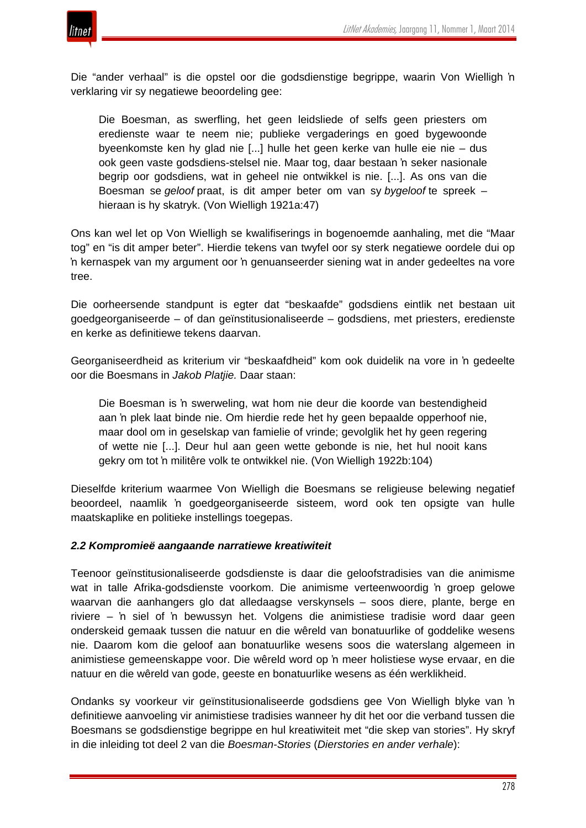

Die "ander verhaal" is die opstel oor die godsdienstige begrippe, waarin Von Wielligh 'n verklaring vir sy negatiewe beoordeling gee:

Die Boesman, as swerfling, het geen leidsliede of selfs geen priesters om eredienste waar te neem nie; publieke vergaderings en goed bygewoonde byeenkomste ken hy glad nie [...] hulle het geen kerke van hulle eie nie – dus ook geen vaste godsdiens-stelsel nie. Maar tog, daar bestaan 'n seker nasionale begrip oor godsdiens, wat in geheel nie ontwikkel is nie. [...]. As ons van die Boesman se *geloof* praat, is dit amper beter om van sy *bygeloof* te spreek – hieraan is hy skatryk. (Von Wielligh 1921a:47)

Ons kan wel let op Von Wielligh se kwalifiserings in bogenoemde aanhaling, met die "Maar tog" en "is dit amper beter". Hierdie tekens van twyfel oor sy sterk negatiewe oordele dui op 'n kernaspek van my argument oor 'n genuanseerder siening wat in ander gedeeltes na vore tree.

Die oorheersende standpunt is egter dat "beskaafde" godsdiens eintlik net bestaan uit goedgeorganiseerde – of dan geïnstitusionaliseerde – godsdiens, met priesters, eredienste en kerke as definitiewe tekens daarvan.

Georganiseerdheid as kriterium vir "beskaafdheid" kom ook duidelik na vore in 'n gedeelte oor die Boesmans in *Jakob Platjie.* Daar staan:

Die Boesman is 'n swerweling, wat hom nie deur die koorde van bestendigheid aan 'n plek laat binde nie. Om hierdie rede het hy geen bepaalde opperhoof nie, maar dool om in geselskap van famielie of vrinde; gevolglik het hy geen regering of wette nie [...]. Deur hul aan geen wette gebonde is nie, het hul nooit kans gekry om tot 'n militêre volk te ontwikkel nie. (Von Wielligh 1922b:104)

Dieselfde kriterium waarmee Von Wielligh die Boesmans se religieuse belewing negatief beoordeel, naamlik 'n goedgeorganiseerde sisteem, word ook ten opsigte van hulle maatskaplike en politieke instellings toegepas.

# *2.2 Kompromieë aangaande narratiewe kreatiwiteit*

Teenoor geïnstitusionaliseerde godsdienste is daar die geloofstradisies van die animisme wat in talle Afrika-godsdienste voorkom. Die animisme verteenwoordig 'n groep gelowe waarvan die aanhangers glo dat alledaagse verskynsels – soos diere, plante, berge en riviere – 'n siel of 'n bewussyn het. Volgens die animistiese tradisie word daar geen onderskeid gemaak tussen die natuur en die wêreld van bonatuurlike of goddelike wesens nie. Daarom kom die geloof aan bonatuurlike wesens soos die waterslang algemeen in animistiese gemeenskappe voor. Die wêreld word op 'n meer holistiese wyse ervaar, en die natuur en die wêreld van gode, geeste en bonatuurlike wesens as één werklikheid.

Ondanks sy voorkeur vir geïnstitusionaliseerde godsdiens gee Von Wielligh blyke van 'n definitiewe aanvoeling vir animistiese tradisies wanneer hy dit het oor die verband tussen die Boesmans se godsdienstige begrippe en hul kreatiwiteit met "die skep van stories". Hy skryf in die inleiding tot deel 2 van die *Boesman-Stories* (*Dierstories en ander verhale*):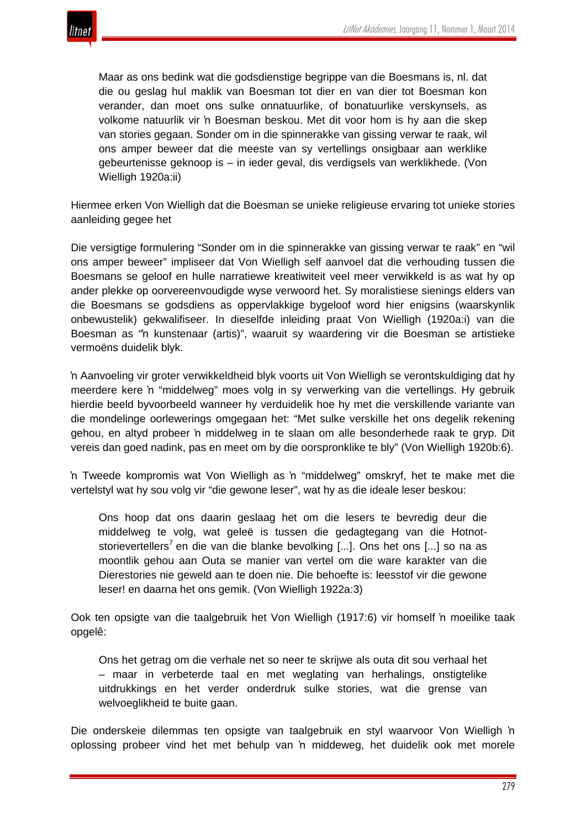

Maar as ons bedink wat die godsdienstige begrippe van die Boesmans is, nl. dat die ou geslag hul maklik van Boesman tot dier en van dier tot Boesman kon verander, dan moet ons sulke onnatuurlike, of bonatuurlike verskynsels, as volkome natuurlik vir 'n Boesman beskou. Met dit voor hom is hy aan die skep van stories gegaan. Sonder om in die spinnerakke van gissing verwar te raak, wil ons amper beweer dat die meeste van sy vertellings onsigbaar aan werklike gebeurtenisse geknoop is – in ieder geval, dis verdigsels van werklikhede. (Von Wielligh 1920a:ii)

Hiermee erken Von Wielligh dat die Boesman se unieke religieuse ervaring tot unieke stories aanleiding gegee het

Die versigtige formulering "Sonder om in die spinnerakke van gissing verwar te raak" en "wil ons amper beweer" impliseer dat Von Wielligh self aanvoel dat die verhouding tussen die Boesmans se geloof en hulle narratiewe kreatiwiteit veel meer verwikkeld is as wat hy op ander plekke op oorvereenvoudigde wyse verwoord het. Sy moralistiese sienings elders van die Boesmans se godsdiens as oppervlakkige bygeloof word hier enigsins (waarskynlik onbewustelik) gekwalifiseer. In dieselfde inleiding praat Von Wielligh (1920a:i) van die Boesman as "'n kunstenaar (artis)", waaruit sy waardering vir die Boesman se artistieke vermoëns duidelik blyk.

'n Aanvoeling vir groter verwikkeldheid blyk voorts uit Von Wielligh se verontskuldiging dat hy meerdere kere 'n "middelweg" moes volg in sy verwerking van die vertellings. Hy gebruik hierdie beeld byvoorbeeld wanneer hy verduidelik hoe hy met die verskillende variante van die mondelinge oorlewerings omgegaan het: "Met sulke verskille het ons degelik rekening gehou, en altyd probeer 'n middelweg in te slaan om alle besonderhede raak te gryp. Dit vereis dan goed nadink, pas en meet om by die oorspronklike te bly" (Von Wielligh 1920b:6).

'n Tweede kompromis wat Von Wielligh as 'n "middelweg" omskryf, het te make met die vertelstyl wat hy sou volg vir "die gewone leser", wat hy as die ideale leser beskou:

Ons hoop dat ons daarin geslaag het om die lesers te bevredig deur die middelweg te volg, wat geleë is tussen die gedagtegang van die Hotnotstorievertellers<sup>7</sup> en die van die blanke bevolking [...]. Ons het ons [...] so na as moontlik gehou aan Outa se manier van vertel om die ware karakter van die Dierestories nie geweld aan te doen nie. Die behoefte is: leesstof vir die gewone leser! en daarna het ons gemik. (Von Wielligh 1922a:3)

Ook ten opsigte van die taalgebruik het Von Wielligh (1917:6) vir homself 'n moeilike taak opgelê:

Ons het getrag om die verhale net so neer te skrijwe als outa dit sou verhaal het – maar in verbeterde taal en met weglating van herhalings, onstigtelike uitdrukkings en het verder onderdruk sulke stories, wat die grense van welvoeglikheid te buite gaan.

Die onderskeie dilemmas ten opsigte van taalgebruik en styl waarvoor Von Wielligh 'n oplossing probeer vind het met behulp van 'n middeweg, het duidelik ook met morele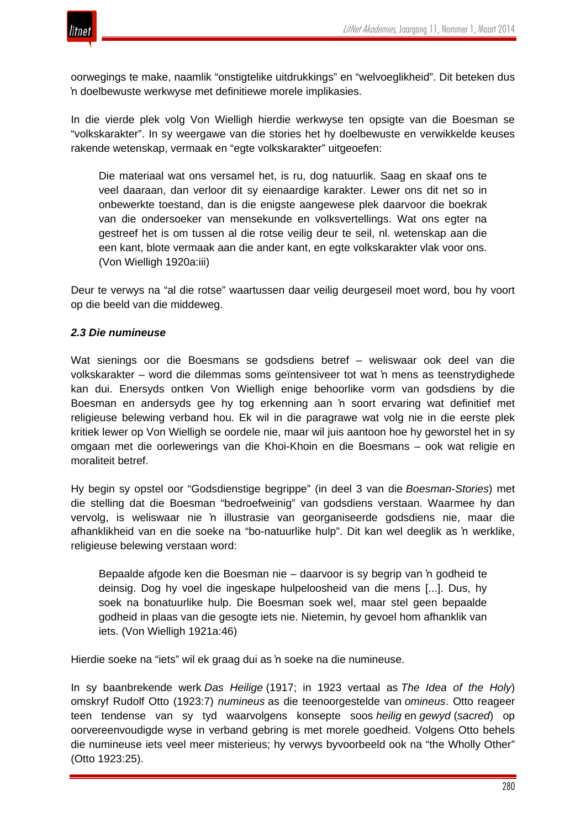

oorwegings te make, naamlik "onstigtelike uitdrukkings" en "welvoeglikheid". Dit beteken dus 'n doelbewuste werkwyse met definitiewe morele implikasies.

In die vierde plek volg Von Wielligh hierdie werkwyse ten opsigte van die Boesman se "volkskarakter". In sy weergawe van die stories het hy doelbewuste en verwikkelde keuses rakende wetenskap, vermaak en "egte volkskarakter" uitgeoefen:

Die materiaal wat ons versamel het, is ru, dog natuurlik. Saag en skaaf ons te veel daaraan, dan verloor dit sy eienaardige karakter. Lewer ons dit net so in onbewerkte toestand, dan is die enigste aangewese plek daarvoor die boekrak van die ondersoeker van mensekunde en volksvertellings. Wat ons egter na gestreef het is om tussen al die rotse veilig deur te seil, nl. wetenskap aan die een kant, blote vermaak aan die ander kant, en egte volkskarakter vlak voor ons. (Von Wielligh 1920a:iii)

Deur te verwys na "al die rotse" waartussen daar veilig deurgeseil moet word, bou hy voort op die beeld van die middeweg.

#### *2.3 Die numineuse*

Wat sienings oor die Boesmans se godsdiens betref – weliswaar ook deel van die volkskarakter – word die dilemmas soms geïntensiveer tot wat 'n mens as teenstrydighede kan dui. Enersyds ontken Von Wielligh enige behoorlike vorm van godsdiens by die Boesman en andersyds gee hy tog erkenning aan 'n soort ervaring wat definitief met religieuse belewing verband hou. Ek wil in die paragrawe wat volg nie in die eerste plek kritiek lewer op Von Wielligh se oordele nie, maar wil juis aantoon hoe hy geworstel het in sy omgaan met die oorlewerings van die Khoi-Khoin en die Boesmans – ook wat religie en moraliteit betref.

Hy begin sy opstel oor "Godsdienstige begrippe" (in deel 3 van die *Boesman-Stories*) met die stelling dat die Boesman "bedroefweinig" van godsdiens verstaan. Waarmee hy dan vervolg, is weliswaar nie 'n illustrasie van georganiseerde godsdiens nie, maar die afhanklikheid van en die soeke na "bo-natuurlike hulp". Dit kan wel deeglik as 'n werklike, religieuse belewing verstaan word:

Bepaalde afgode ken die Boesman nie – daarvoor is sy begrip van 'n godheid te deinsig. Dog hy voel die ingeskape hulpeloosheid van die mens [...]. Dus, hy soek na bonatuurlike hulp. Die Boesman soek wel, maar stel geen bepaalde godheid in plaas van die gesogte iets nie. Nietemin, hy gevoel hom afhanklik van iets. (Von Wielligh 1921a:46)

Hierdie soeke na "iets" wil ek graag dui as 'n soeke na die numineuse.

In sy baanbrekende werk *Das Heilige* (1917; in 1923 vertaal as *The Idea of the Holy*) omskryf Rudolf Otto (1923:7) *numineus* as die teenoorgestelde van *omineus*. Otto reageer teen tendense van sy tyd waarvolgens konsepte soos *heilig* en *gewyd* (*sacred*) op oorvereenvoudigde wyse in verband gebring is met morele goedheid. Volgens Otto behels die numineuse iets veel meer misterieus; hy verwys byvoorbeeld ook na "the Wholly Other" (Otto 1923:25).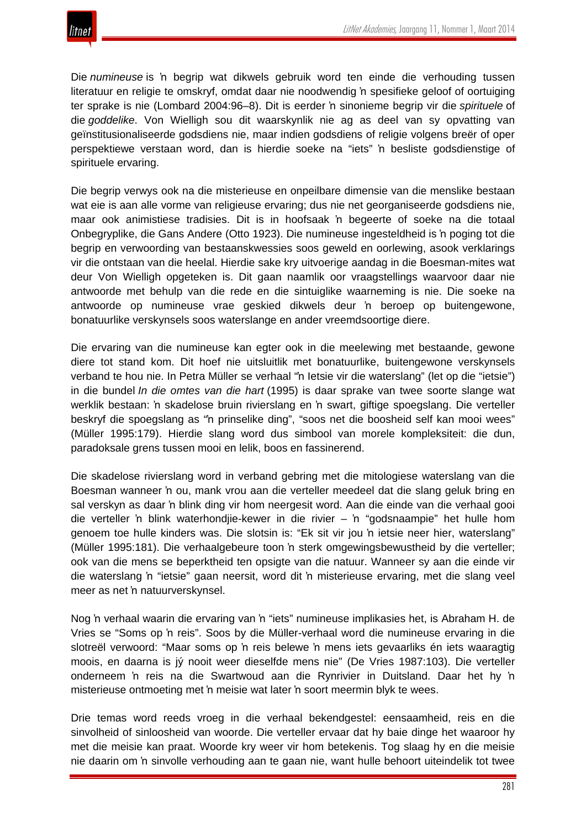

Die *numineuse* is 'n begrip wat dikwels gebruik word ten einde die verhouding tussen literatuur en religie te omskryf, omdat daar nie noodwendig 'n spesifieke geloof of oortuiging ter sprake is nie (Lombard 2004:96–8). Dit is eerder 'n sinonieme begrip vir die *spirituele* of die *goddelike*. Von Wielligh sou dit waarskynlik nie ag as deel van sy opvatting van geïnstitusionaliseerde godsdiens nie, maar indien godsdiens of religie volgens breër of oper perspektiewe verstaan word, dan is hierdie soeke na "iets" 'n besliste godsdienstige of spirituele ervaring.

Die begrip verwys ook na die misterieuse en onpeilbare dimensie van die menslike bestaan wat eie is aan alle vorme van religieuse ervaring; dus nie net georganiseerde godsdiens nie, maar ook animistiese tradisies. Dit is in hoofsaak 'n begeerte of soeke na die totaal Onbegryplike, die Gans Andere (Otto 1923). Die numineuse ingesteldheid is 'n poging tot die begrip en verwoording van bestaanskwessies soos geweld en oorlewing, asook verklarings vir die ontstaan van die heelal. Hierdie sake kry uitvoerige aandag in die Boesman-mites wat deur Von Wielligh opgeteken is. Dit gaan naamlik oor vraagstellings waarvoor daar nie antwoorde met behulp van die rede en die sintuiglike waarneming is nie. Die soeke na antwoorde op numineuse vrae geskied dikwels deur 'n beroep op buitengewone, bonatuurlike verskynsels soos waterslange en ander vreemdsoortige diere.

Die ervaring van die numineuse kan egter ook in die meelewing met bestaande, gewone diere tot stand kom. Dit hoef nie uitsluitlik met bonatuurlike, buitengewone verskynsels verband te hou nie. In Petra Müller se verhaal "'n Ietsie vir die waterslang" (let op die "ietsie") in die bundel *In die omtes van die hart* (1995) is daar sprake van twee soorte slange wat werklik bestaan: 'n skadelose bruin rivierslang en 'n swart, giftige spoegslang. Die verteller beskryf die spoegslang as "'n prinselike ding", "soos net die boosheid self kan mooi wees" (Müller 1995:179). Hierdie slang word dus simbool van morele kompleksiteit: die dun, paradoksale grens tussen mooi en lelik, boos en fassinerend.

Die skadelose rivierslang word in verband gebring met die mitologiese waterslang van die Boesman wanneer 'n ou, mank vrou aan die verteller meedeel dat die slang geluk bring en sal verskyn as daar 'n blink ding vir hom neergesit word. Aan die einde van die verhaal gooi die verteller 'n blink waterhondjie-kewer in die rivier – 'n "godsnaampie" het hulle hom genoem toe hulle kinders was. Die slotsin is: "Ek sit vir jou 'n ietsie neer hier, waterslang" (Müller 1995:181). Die verhaalgebeure toon 'n sterk omgewingsbewustheid by die verteller; ook van die mens se beperktheid ten opsigte van die natuur. Wanneer sy aan die einde vir die waterslang 'n "ietsie" gaan neersit, word dit 'n misterieuse ervaring, met die slang veel meer as net 'n natuurverskynsel.

Nog 'n verhaal waarin die ervaring van 'n "iets" numineuse implikasies het, is Abraham H. de Vries se "Soms op 'n reis". Soos by die Müller-verhaal word die numineuse ervaring in die slotreël verwoord: "Maar soms op 'n reis belewe 'n mens iets gevaarliks én iets waaragtig moois, en daarna is jý nooit weer dieselfde mens nie" (De Vries 1987:103). Die verteller onderneem 'n reis na die Swartwoud aan die Rynrivier in Duitsland. Daar het hy 'n misterieuse ontmoeting met 'n meisie wat later 'n soort meermin blyk te wees.

Drie temas word reeds vroeg in die verhaal bekendgestel: eensaamheid, reis en die sinvolheid of sinloosheid van woorde. Die verteller ervaar dat hy baie dinge het waaroor hy met die meisie kan praat. Woorde kry weer vir hom betekenis. Tog slaag hy en die meisie nie daarin om 'n sinvolle verhouding aan te gaan nie, want hulle behoort uiteindelik tot twee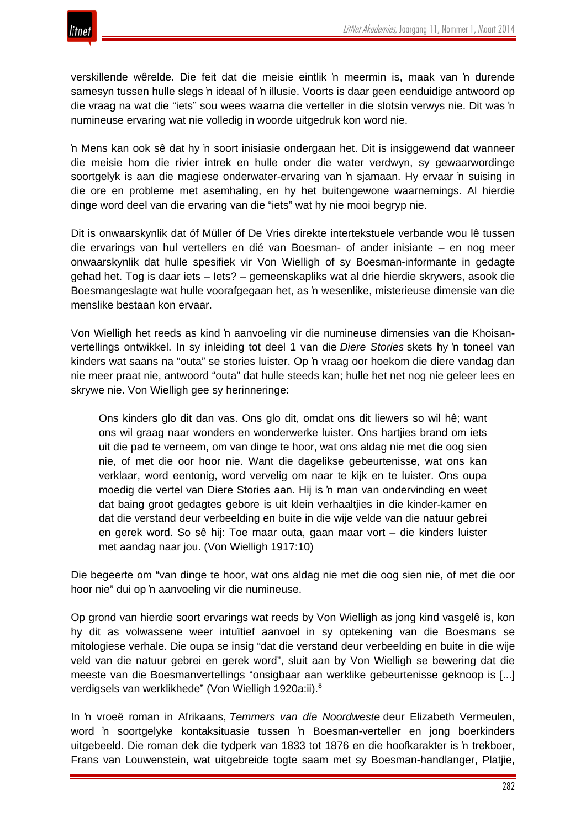

verskillende wêrelde. Die feit dat die meisie eintlik 'n meermin is, maak van 'n durende samesyn tussen hulle slegs 'n ideaal of 'n illusie. Voorts is daar geen eenduidige antwoord op die vraag na wat die "iets" sou wees waarna die verteller in die slotsin verwys nie. Dit was 'n numineuse ervaring wat nie volledig in woorde uitgedruk kon word nie.

'n Mens kan ook sê dat hy 'n soort inisiasie ondergaan het. Dit is insiggewend dat wanneer die meisie hom die rivier intrek en hulle onder die water verdwyn, sy gewaarwordinge soortgelyk is aan die magiese onderwater-ervaring van 'n sjamaan. Hy ervaar 'n suising in die ore en probleme met asemhaling, en hy het buitengewone waarnemings. Al hierdie dinge word deel van die ervaring van die "iets" wat hy nie mooi begryp nie.

Dit is onwaarskynlik dat óf Müller óf De Vries direkte intertekstuele verbande wou lê tussen die ervarings van hul vertellers en dié van Boesman- of ander inisiante – en nog meer onwaarskynlik dat hulle spesifiek vir Von Wielligh of sy Boesman-informante in gedagte gehad het. Tog is daar iets – Iets? – gemeenskapliks wat al drie hierdie skrywers, asook die Boesmangeslagte wat hulle voorafgegaan het, as 'n wesenlike, misterieuse dimensie van die menslike bestaan kon ervaar.

Von Wielligh het reeds as kind 'n aanvoeling vir die numineuse dimensies van die Khoisanvertellings ontwikkel. In sy inleiding tot deel 1 van die *Diere Stories* skets hy 'n toneel van kinders wat saans na "outa" se stories luister. Op 'n vraag oor hoekom die diere vandag dan nie meer praat nie, antwoord "outa" dat hulle steeds kan; hulle het net nog nie geleer lees en skrywe nie. Von Wielligh gee sy herinneringe:

Ons kinders glo dit dan vas. Ons glo dit, omdat ons dit liewers so wil hê; want ons wil graag naar wonders en wonderwerke luister. Ons hartjies brand om iets uit die pad te verneem, om van dinge te hoor, wat ons aldag nie met die oog sien nie, of met die oor hoor nie. Want die dagelikse gebeurtenisse, wat ons kan verklaar, word eentonig, word vervelig om naar te kijk en te luister. Ons oupa moedig die vertel van Diere Stories aan. Hij is 'n man van ondervinding en weet dat baing groot gedagtes gebore is uit klein verhaaltjies in die kinder-kamer en dat die verstand deur verbeelding en buite in die wije velde van die natuur gebrei en gerek word. So sê hij: Toe maar outa, gaan maar vort – die kinders luister met aandag naar jou. (Von Wielligh 1917:10)

Die begeerte om "van dinge te hoor, wat ons aldag nie met die oog sien nie, of met die oor hoor nie" dui op 'n aanvoeling vir die numineuse.

Op grond van hierdie soort ervarings wat reeds by Von Wielligh as jong kind vasgelê is, kon hy dit as volwassene weer intuïtief aanvoel in sy optekening van die Boesmans se mitologiese verhale. Die oupa se insig "dat die verstand deur verbeelding en buite in die wije veld van die natuur gebrei en gerek word", sluit aan by Von Wielligh se bewering dat die meeste van die Boesmanvertellings "onsigbaar aan werklike gebeurtenisse geknoop is [...] verdigsels van werklikhede" (Von Wielligh 1920a:ii).<sup>8</sup>

In 'n vroeë roman in Afrikaans, *Temmers van die Noordweste* deur Elizabeth Vermeulen, word 'n soortgelyke kontaksituasie tussen 'n Boesman-verteller en jong boerkinders uitgebeeld. Die roman dek die tydperk van 1833 tot 1876 en die hoofkarakter is 'n trekboer, Frans van Louwenstein, wat uitgebreide togte saam met sy Boesman-handlanger, Platjie,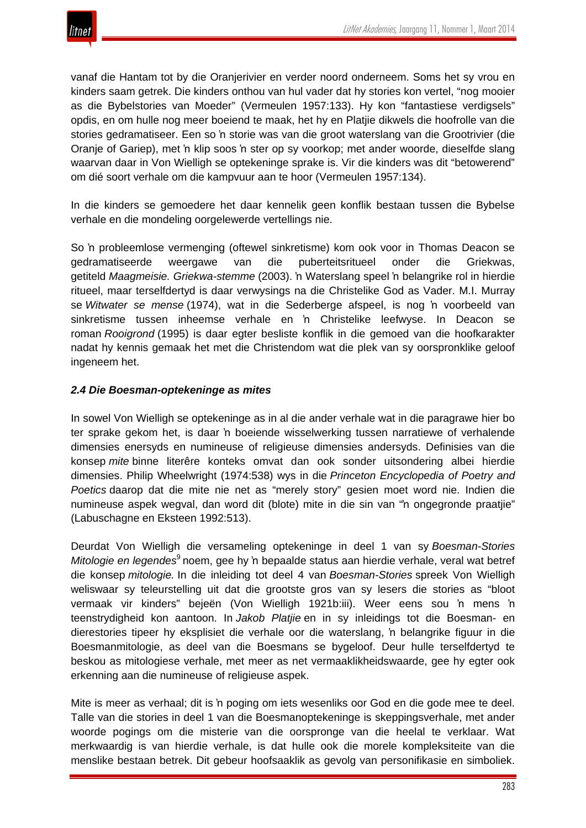vanaf die Hantam tot by die Oranjerivier en verder noord onderneem. Soms het sy vrou en kinders saam getrek. Die kinders onthou van hul vader dat hy stories kon vertel, "nog mooier as die Bybelstories van Moeder" (Vermeulen 1957:133). Hy kon "fantastiese verdigsels" opdis, en om hulle nog meer boeiend te maak, het hy en Platjie dikwels die hoofrolle van die stories gedramatiseer. Een so 'n storie was van die groot waterslang van die Grootrivier (die Oranje of Gariep), met 'n klip soos 'n ster op sy voorkop; met ander woorde, dieselfde slang waarvan daar in Von Wielligh se optekeninge sprake is. Vir die kinders was dit "betowerend" om dié soort verhale om die kampvuur aan te hoor (Vermeulen 1957:134).

In die kinders se gemoedere het daar kennelik geen konflik bestaan tussen die Bybelse verhale en die mondeling oorgelewerde vertellings nie.

So 'n probleemlose vermenging (oftewel sinkretisme) kom ook voor in Thomas Deacon se gedramatiseerde weergawe van die puberteitsritueel onder die Griekwas, getiteld *Maagmeisie. Griekwa-stemme* (2003). 'n Waterslang speel 'n belangrike rol in hierdie ritueel, maar terselfdertyd is daar verwysings na die Christelike God as Vader. M.I. Murray se *Witwater se mense* (1974), wat in die Sederberge afspeel, is nog 'n voorbeeld van sinkretisme tussen inheemse verhale en 'n Christelike leefwyse. In Deacon se roman *Rooigrond* (1995) is daar egter besliste konflik in die gemoed van die hoofkarakter nadat hy kennis gemaak het met die Christendom wat die plek van sy oorspronklike geloof ingeneem het.

#### *2.4 Die Boesman-optekeninge as mites*

In sowel Von Wielligh se optekeninge as in al die ander verhale wat in die paragrawe hier bo ter sprake gekom het, is daar 'n boeiende wisselwerking tussen narratiewe of verhalende dimensies enersyds en numineuse of religieuse dimensies andersyds. Definisies van die konsep *mite* binne literêre konteks omvat dan ook sonder uitsondering albei hierdie dimensies. Philip Wheelwright (1974:538) wys in die *Princeton Encyclopedia of Poetry and Poetics* daarop dat die mite nie net as "merely story" gesien moet word nie. Indien die numineuse aspek wegval, dan word dit (blote) mite in die sin van "'n ongegronde praatjie" (Labuschagne en Eksteen 1992:513).

Deurdat Von Wielligh die versameling optekeninge in deel 1 van sy *Boesman-Stories Mitologie en legendes*<sup>9</sup> noem, gee hy 'n bepaalde status aan hierdie verhale, veral wat betref die konsep *mitologie.* In die inleiding tot deel 4 van *Boesman-Stories* spreek Von Wielligh weliswaar sy teleurstelling uit dat die grootste gros van sy lesers die stories as "bloot vermaak vir kinders" bejeën (Von Wielligh 1921b:iii). Weer eens sou 'n mens 'n teenstrydigheid kon aantoon. In *Jakob Platjie* en in sy inleidings tot die Boesman- en dierestories tipeer hy eksplisiet die verhale oor die waterslang, 'n belangrike figuur in die Boesmanmitologie, as deel van die Boesmans se bygeloof. Deur hulle terselfdertyd te beskou as mitologiese verhale, met meer as net vermaaklikheidswaarde, gee hy egter ook erkenning aan die numineuse of religieuse aspek.

Mite is meer as verhaal; dit is 'n poging om iets wesenliks oor God en die gode mee te deel. Talle van die stories in deel 1 van die Boesmanoptekeninge is skeppingsverhale, met ander woorde pogings om die misterie van die oorspronge van die heelal te verklaar. Wat merkwaardig is van hierdie verhale, is dat hulle ook die morele kompleksiteite van die menslike bestaan betrek. Dit gebeur hoofsaaklik as gevolg van personifikasie en simboliek.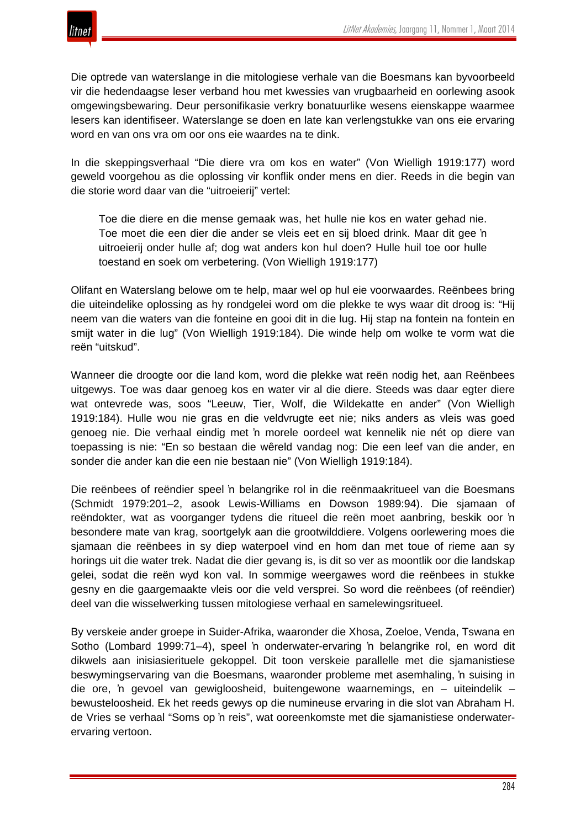

Die optrede van waterslange in die mitologiese verhale van die Boesmans kan byvoorbeeld vir die hedendaagse leser verband hou met kwessies van vrugbaarheid en oorlewing asook omgewingsbewaring. Deur personifikasie verkry bonatuurlike wesens eienskappe waarmee lesers kan identifiseer. Waterslange se doen en late kan verlengstukke van ons eie ervaring word en van ons vra om oor ons eie waardes na te dink.

In die skeppingsverhaal "Die diere vra om kos en water" (Von Wielligh 1919:177) word geweld voorgehou as die oplossing vir konflik onder mens en dier. Reeds in die begin van die storie word daar van die "uitroeierij" vertel:

Toe die diere en die mense gemaak was, het hulle nie kos en water gehad nie. Toe moet die een dier die ander se vleis eet en sij bloed drink. Maar dit gee 'n uitroeierij onder hulle af; dog wat anders kon hul doen? Hulle huil toe oor hulle toestand en soek om verbetering. (Von Wielligh 1919:177)

Olifant en Waterslang belowe om te help, maar wel op hul eie voorwaardes. Reënbees bring die uiteindelike oplossing as hy rondgelei word om die plekke te wys waar dit droog is: "Hij neem van die waters van die fonteine en gooi dit in die lug. Hij stap na fontein na fontein en smijt water in die lug" (Von Wielligh 1919:184). Die winde help om wolke te vorm wat die reën "uitskud".

Wanneer die droogte oor die land kom, word die plekke wat reën nodig het, aan Reënbees uitgewys. Toe was daar genoeg kos en water vir al die diere. Steeds was daar egter diere wat ontevrede was, soos "Leeuw, Tier, Wolf, die Wildekatte en ander" (Von Wielligh 1919:184). Hulle wou nie gras en die veldvrugte eet nie; niks anders as vleis was goed genoeg nie. Die verhaal eindig met 'n morele oordeel wat kennelik nie nét op diere van toepassing is nie: "En so bestaan die wêreld vandag nog: Die een leef van die ander, en sonder die ander kan die een nie bestaan nie" (Von Wielligh 1919:184).

Die reënbees of reëndier speel 'n belangrike rol in die reënmaakritueel van die Boesmans (Schmidt 1979:201–2, asook Lewis-Williams en Dowson 1989:94). Die sjamaan of reëndokter, wat as voorganger tydens die ritueel die reën moet aanbring, beskik oor 'n besondere mate van krag, soortgelyk aan die grootwilddiere. Volgens oorlewering moes die sjamaan die reënbees in sy diep waterpoel vind en hom dan met toue of rieme aan sy horings uit die water trek. Nadat die dier gevang is, is dit so ver as moontlik oor die landskap gelei, sodat die reën wyd kon val. In sommige weergawes word die reënbees in stukke gesny en die gaargemaakte vleis oor die veld versprei. So word die reënbees (of reëndier) deel van die wisselwerking tussen mitologiese verhaal en samelewingsritueel.

By verskeie ander groepe in Suider-Afrika, waaronder die Xhosa, Zoeloe, Venda, Tswana en Sotho (Lombard 1999:71–4), speel 'n onderwater-ervaring 'n belangrike rol, en word dit dikwels aan inisiasierituele gekoppel. Dit toon verskeie parallelle met die sjamanistiese beswymingservaring van die Boesmans, waaronder probleme met asemhaling, 'n suising in die ore, 'n gevoel van gewigloosheid, buitengewone waarnemings, en – uiteindelik – bewusteloosheid. Ek het reeds gewys op die numineuse ervaring in die slot van Abraham H. de Vries se verhaal "Soms op 'n reis", wat ooreenkomste met die sjamanistiese onderwaterervaring vertoon.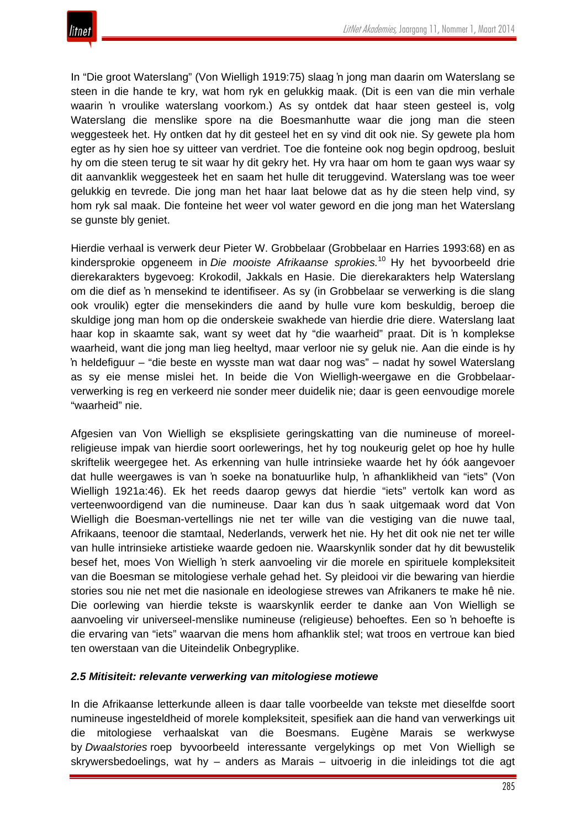In "Die groot Waterslang" (Von Wielligh 1919:75) slaag 'n jong man daarin om Waterslang se steen in die hande te kry, wat hom ryk en gelukkig maak. (Dit is een van die min verhale waarin 'n vroulike waterslang voorkom.) As sy ontdek dat haar steen gesteel is, volg Waterslang die menslike spore na die Boesmanhutte waar die jong man die steen weggesteek het. Hy ontken dat hy dit gesteel het en sy vind dit ook nie. Sy gewete pla hom egter as hy sien hoe sy uitteer van verdriet. Toe die fonteine ook nog begin opdroog, besluit hy om die steen terug te sit waar hy dit gekry het. Hy vra haar om hom te gaan wys waar sy dit aanvanklik weggesteek het en saam het hulle dit teruggevind. Waterslang was toe weer gelukkig en tevrede. Die jong man het haar laat belowe dat as hy die steen help vind, sy hom ryk sal maak. Die fonteine het weer vol water geword en die jong man het Waterslang se gunste bly geniet.

Hierdie verhaal is verwerk deur Pieter W. Grobbelaar (Grobbelaar en Harries 1993:68) en as kindersprokie opgeneem in *Die mooiste Afrikaanse sprokies.*<sup>10</sup> Hy het byvoorbeeld drie dierekarakters bygevoeg: Krokodil, Jakkals en Hasie. Die dierekarakters help Waterslang om die dief as 'n mensekind te identifiseer. As sy (in Grobbelaar se verwerking is die slang ook vroulik) egter die mensekinders die aand by hulle vure kom beskuldig, beroep die skuldige jong man hom op die onderskeie swakhede van hierdie drie diere. Waterslang laat haar kop in skaamte sak, want sy weet dat hy "die waarheid" praat. Dit is 'n komplekse waarheid, want die jong man lieg heeltyd, maar verloor nie sy geluk nie. Aan die einde is hy 'n heldefiguur – "die beste en wysste man wat daar nog was" – nadat hy sowel Waterslang as sy eie mense mislei het. In beide die Von Wielligh-weergawe en die Grobbelaarverwerking is reg en verkeerd nie sonder meer duidelik nie; daar is geen eenvoudige morele "waarheid" nie.

Afgesien van Von Wielligh se eksplisiete geringskatting van die numineuse of moreelreligieuse impak van hierdie soort oorlewerings, het hy tog noukeurig gelet op hoe hy hulle skriftelik weergegee het. As erkenning van hulle intrinsieke waarde het hy óók aangevoer dat hulle weergawes is van 'n soeke na bonatuurlike hulp, 'n afhanklikheid van "iets" (Von Wielligh 1921a:46). Ek het reeds daarop gewys dat hierdie "iets" vertolk kan word as verteenwoordigend van die numineuse. Daar kan dus 'n saak uitgemaak word dat Von Wielligh die Boesman-vertellings nie net ter wille van die vestiging van die nuwe taal, Afrikaans, teenoor die stamtaal, Nederlands, verwerk het nie. Hy het dit ook nie net ter wille van hulle intrinsieke artistieke waarde gedoen nie. Waarskynlik sonder dat hy dit bewustelik besef het, moes Von Wielligh 'n sterk aanvoeling vir die morele en spirituele kompleksiteit van die Boesman se mitologiese verhale gehad het. Sy pleidooi vir die bewaring van hierdie stories sou nie net met die nasionale en ideologiese strewes van Afrikaners te make hê nie. Die oorlewing van hierdie tekste is waarskynlik eerder te danke aan Von Wielligh se aanvoeling vir universeel-menslike numineuse (religieuse) behoeftes. Een so 'n behoefte is die ervaring van "iets" waarvan die mens hom afhanklik stel; wat troos en vertroue kan bied ten owerstaan van die Uiteindelik Onbegryplike.

# *2.5 Mitisiteit: relevante verwerking van mitologiese motiewe*

In die Afrikaanse letterkunde alleen is daar talle voorbeelde van tekste met dieselfde soort numineuse ingesteldheid of morele kompleksiteit, spesifiek aan die hand van verwerkings uit die mitologiese verhaalskat van die Boesmans. Eugène Marais se werkwyse by *Dwaalstories* roep byvoorbeeld interessante vergelykings op met Von Wielligh se skrywersbedoelings, wat hy – anders as Marais – uitvoerig in die inleidings tot die agt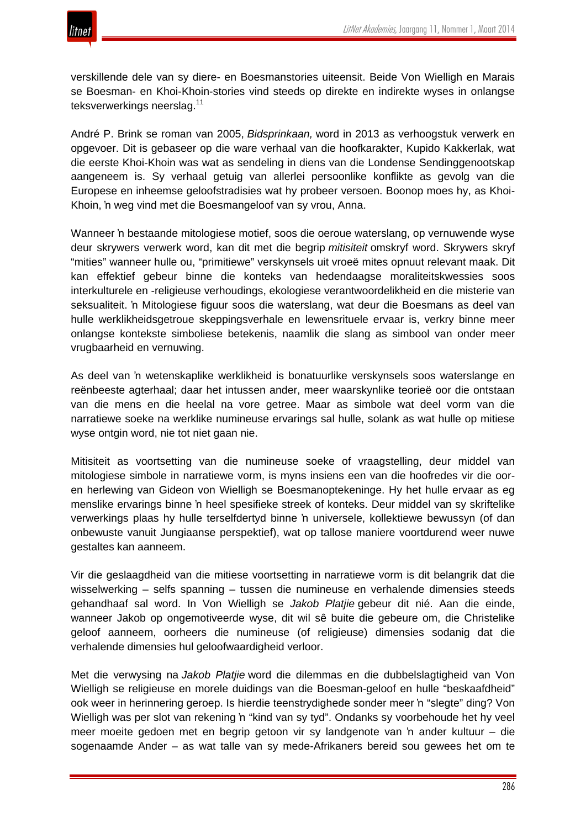verskillende dele van sy diere- en Boesmanstories uiteensit. Beide Von Wielligh en Marais se Boesman- en Khoi-Khoin-stories vind steeds op direkte en indirekte wyses in onlangse teksverwerkings neerslag.<sup>11</sup>

André P. Brink se roman van 2005, *Bidsprinkaan,* word in 2013 as verhoogstuk verwerk en opgevoer. Dit is gebaseer op die ware verhaal van die hoofkarakter, Kupido Kakkerlak, wat die eerste Khoi-Khoin was wat as sendeling in diens van die Londense Sendinggenootskap aangeneem is. Sy verhaal getuig van allerlei persoonlike konflikte as gevolg van die Europese en inheemse geloofstradisies wat hy probeer versoen. Boonop moes hy, as Khoi-Khoin, 'n weg vind met die Boesmangeloof van sy vrou, Anna.

Wanneer 'n bestaande mitologiese motief, soos die oeroue waterslang, op vernuwende wyse deur skrywers verwerk word, kan dit met die begrip *mitisiteit* omskryf word. Skrywers skryf "mities" wanneer hulle ou, "primitiewe" verskynsels uit vroeë mites opnuut relevant maak. Dit kan effektief gebeur binne die konteks van hedendaagse moraliteitskwessies soos interkulturele en -religieuse verhoudings, ekologiese verantwoordelikheid en die misterie van seksualiteit. 'n Mitologiese figuur soos die waterslang, wat deur die Boesmans as deel van hulle werklikheidsgetroue skeppingsverhale en lewensrituele ervaar is, verkry binne meer onlangse kontekste simboliese betekenis, naamlik die slang as simbool van onder meer vrugbaarheid en vernuwing.

As deel van 'n wetenskaplike werklikheid is bonatuurlike verskynsels soos waterslange en reënbeeste agterhaal; daar het intussen ander, meer waarskynlike teorieë oor die ontstaan van die mens en die heelal na vore getree. Maar as simbole wat deel vorm van die narratiewe soeke na werklike numineuse ervarings sal hulle, solank as wat hulle op mitiese wyse ontgin word, nie tot niet gaan nie.

Mitisiteit as voortsetting van die numineuse soeke of vraagstelling, deur middel van mitologiese simbole in narratiewe vorm, is myns insiens een van die hoofredes vir die ooren herlewing van Gideon von Wielligh se Boesmanoptekeninge. Hy het hulle ervaar as eg menslike ervarings binne 'n heel spesifieke streek of konteks. Deur middel van sy skriftelike verwerkings plaas hy hulle terselfdertyd binne 'n universele, kollektiewe bewussyn (of dan onbewuste vanuit Jungiaanse perspektief), wat op tallose maniere voortdurend weer nuwe gestaltes kan aanneem.

Vir die geslaagdheid van die mitiese voortsetting in narratiewe vorm is dit belangrik dat die wisselwerking – selfs spanning – tussen die numineuse en verhalende dimensies steeds gehandhaaf sal word. In Von Wielligh se *Jakob Platjie* gebeur dit nié. Aan die einde, wanneer Jakob op ongemotiveerde wyse, dit wil sê buite die gebeure om, die Christelike geloof aanneem, oorheers die numineuse (of religieuse) dimensies sodanig dat die verhalende dimensies hul geloofwaardigheid verloor.

Met die verwysing na *Jakob Platjie* word die dilemmas en die dubbelslagtigheid van Von Wielligh se religieuse en morele duidings van die Boesman-geloof en hulle "beskaafdheid" ook weer in herinnering geroep. Is hierdie teenstrydighede sonder meer 'n "slegte" ding? Von Wielligh was per slot van rekening 'n "kind van sy tyd". Ondanks sy voorbehoude het hy veel meer moeite gedoen met en begrip getoon vir sy landgenote van 'n ander kultuur – die sogenaamde Ander – as wat talle van sy mede-Afrikaners bereid sou gewees het om te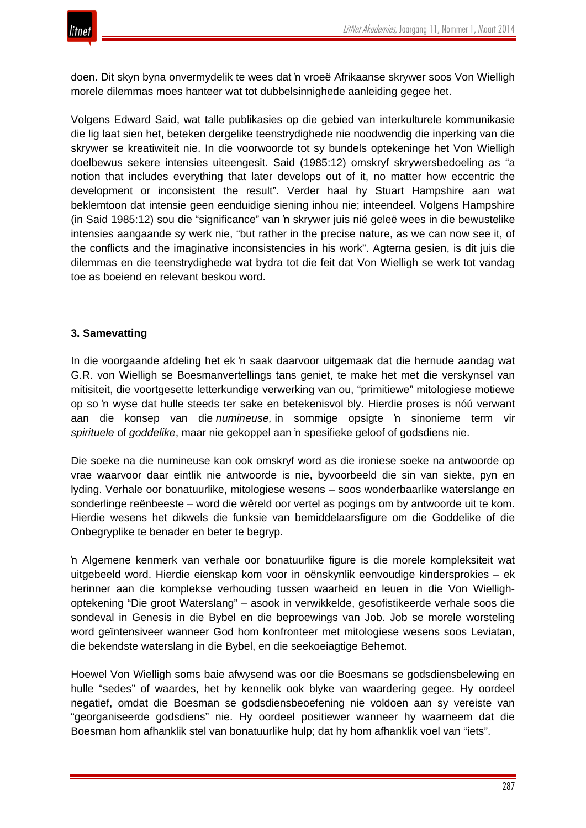doen. Dit skyn byna onvermydelik te wees dat 'n vroeë Afrikaanse skrywer soos Von Wielligh morele dilemmas moes hanteer wat tot dubbelsinnighede aanleiding gegee het.

Volgens Edward Said, wat talle publikasies op die gebied van interkulturele kommunikasie die lig laat sien het, beteken dergelike teenstrydighede nie noodwendig die inperking van die skrywer se kreatiwiteit nie. In die voorwoorde tot sy bundels optekeninge het Von Wielligh doelbewus sekere intensies uiteengesit. Said (1985:12) omskryf skrywersbedoeling as "a notion that includes everything that later develops out of it, no matter how eccentric the development or inconsistent the result". Verder haal hy Stuart Hampshire aan wat beklemtoon dat intensie geen eenduidige siening inhou nie; inteendeel. Volgens Hampshire (in Said 1985:12) sou die "significance" van 'n skrywer juis nié geleë wees in die bewustelike intensies aangaande sy werk nie, "but rather in the precise nature, as we can now see it, of the conflicts and the imaginative inconsistencies in his work". Agterna gesien, is dit juis die dilemmas en die teenstrydighede wat bydra tot die feit dat Von Wielligh se werk tot vandag toe as boeiend en relevant beskou word.

# **3. Samevatting**

In die voorgaande afdeling het ek 'n saak daarvoor uitgemaak dat die hernude aandag wat G.R. von Wielligh se Boesmanvertellings tans geniet, te make het met die verskynsel van mitisiteit, die voortgesette letterkundige verwerking van ou, "primitiewe" mitologiese motiewe op so 'n wyse dat hulle steeds ter sake en betekenisvol bly. Hierdie proses is nóú verwant aan die konsep van die *numineuse,* in sommige opsigte 'n sinonieme term vir *spirituele* of *goddelike*, maar nie gekoppel aan 'n spesifieke geloof of godsdiens nie.

Die soeke na die numineuse kan ook omskryf word as die ironiese soeke na antwoorde op vrae waarvoor daar eintlik nie antwoorde is nie, byvoorbeeld die sin van siekte, pyn en lyding. Verhale oor bonatuurlike, mitologiese wesens – soos wonderbaarlike waterslange en sonderlinge reënbeeste – word die wêreld oor vertel as pogings om by antwoorde uit te kom. Hierdie wesens het dikwels die funksie van bemiddelaarsfigure om die Goddelike of die Onbegryplike te benader en beter te begryp.

'n Algemene kenmerk van verhale oor bonatuurlike figure is die morele kompleksiteit wat uitgebeeld word. Hierdie eienskap kom voor in oënskynlik eenvoudige kindersprokies – ek herinner aan die komplekse verhouding tussen waarheid en leuen in die Von Wiellighoptekening "Die groot Waterslang" – asook in verwikkelde, gesofistikeerde verhale soos die sondeval in Genesis in die Bybel en die beproewings van Job. Job se morele worsteling word geïntensiveer wanneer God hom konfronteer met mitologiese wesens soos Leviatan, die bekendste waterslang in die Bybel, en die seekoeiagtige Behemot.

Hoewel Von Wielligh soms baie afwysend was oor die Boesmans se godsdiensbelewing en hulle "sedes" of waardes, het hy kennelik ook blyke van waardering gegee. Hy oordeel negatief, omdat die Boesman se godsdiensbeoefening nie voldoen aan sy vereiste van "georganiseerde godsdiens" nie. Hy oordeel positiewer wanneer hy waarneem dat die Boesman hom afhanklik stel van bonatuurlike hulp; dat hy hom afhanklik voel van "iets".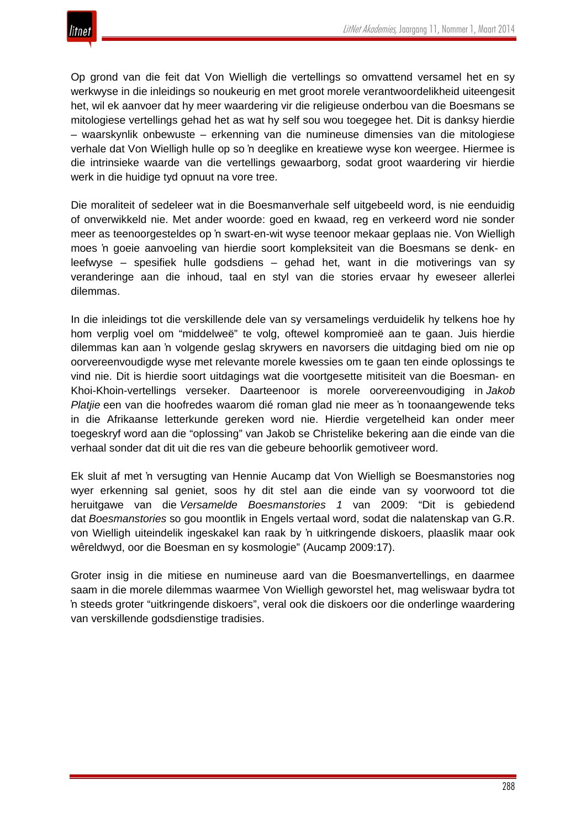Op grond van die feit dat Von Wielligh die vertellings so omvattend versamel het en sy werkwyse in die inleidings so noukeurig en met groot morele verantwoordelikheid uiteengesit het, wil ek aanvoer dat hy meer waardering vir die religieuse onderbou van die Boesmans se mitologiese vertellings gehad het as wat hy self sou wou toegegee het. Dit is danksy hierdie – waarskynlik onbewuste – erkenning van die numineuse dimensies van die mitologiese verhale dat Von Wielligh hulle op so 'n deeglike en kreatiewe wyse kon weergee. Hiermee is die intrinsieke waarde van die vertellings gewaarborg, sodat groot waardering vir hierdie werk in die huidige tyd opnuut na vore tree.

Die moraliteit of sedeleer wat in die Boesmanverhale self uitgebeeld word, is nie eenduidig of onverwikkeld nie. Met ander woorde: goed en kwaad, reg en verkeerd word nie sonder meer as teenoorgesteldes op 'n swart-en-wit wyse teenoor mekaar geplaas nie. Von Wielligh moes 'n goeie aanvoeling van hierdie soort kompleksiteit van die Boesmans se denk- en leefwyse – spesifiek hulle godsdiens – gehad het, want in die motiverings van sy veranderinge aan die inhoud, taal en styl van die stories ervaar hy eweseer allerlei dilemmas.

In die inleidings tot die verskillende dele van sy versamelings verduidelik hy telkens hoe hy hom verplig voel om "middelweë" te volg, oftewel kompromieë aan te gaan. Juis hierdie dilemmas kan aan 'n volgende geslag skrywers en navorsers die uitdaging bied om nie op oorvereenvoudigde wyse met relevante morele kwessies om te gaan ten einde oplossings te vind nie. Dit is hierdie soort uitdagings wat die voortgesette mitisiteit van die Boesman- en Khoi-Khoin-vertellings verseker. Daarteenoor is morele oorvereenvoudiging in *Jakob Platjie* een van die hoofredes waarom dié roman glad nie meer as 'n toonaangewende teks in die Afrikaanse letterkunde gereken word nie. Hierdie vergetelheid kan onder meer toegeskryf word aan die "oplossing" van Jakob se Christelike bekering aan die einde van die verhaal sonder dat dit uit die res van die gebeure behoorlik gemotiveer word.

Ek sluit af met 'n versugting van Hennie Aucamp dat Von Wielligh se Boesmanstories nog wyer erkenning sal geniet, soos hy dit stel aan die einde van sy voorwoord tot die heruitgawe van die *Versamelde Boesmanstories 1* van 2009: "Dit is gebiedend dat *Boesmanstories* so gou moontlik in Engels vertaal word, sodat die nalatenskap van G.R. von Wielligh uiteindelik ingeskakel kan raak by 'n uitkringende diskoers, plaaslik maar ook wêreldwyd, oor die Boesman en sy kosmologie" (Aucamp 2009:17).

Groter insig in die mitiese en numineuse aard van die Boesmanvertellings, en daarmee saam in die morele dilemmas waarmee Von Wielligh geworstel het, mag weliswaar bydra tot 'n steeds groter "uitkringende diskoers", veral ook die diskoers oor die onderlinge waardering van verskillende godsdienstige tradisies.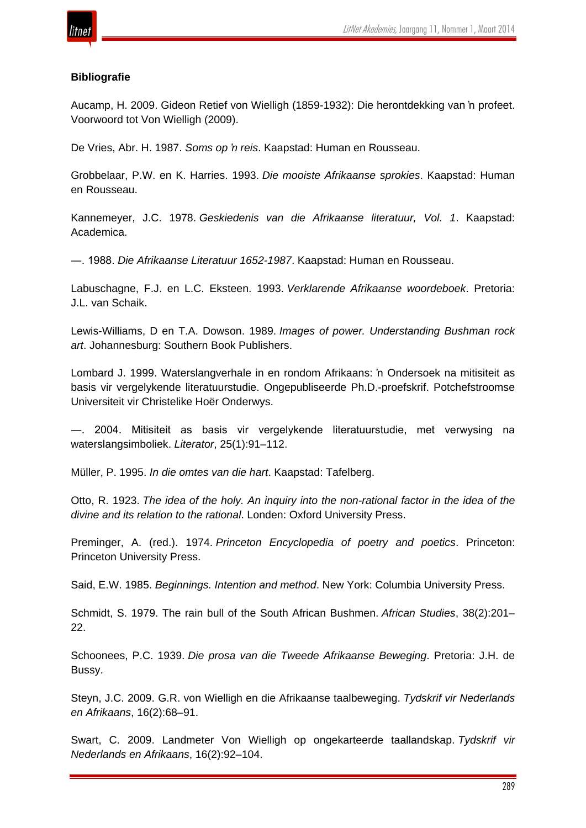# **Bibliografie**

Aucamp, H. 2009. Gideon Retief von Wielligh (1859-1932): Die herontdekking van 'n profeet. Voorwoord tot Von Wielligh (2009).

De Vries, Abr. H. 1987. *Soms op 'n reis*. Kaapstad: Human en Rousseau.

Grobbelaar, P.W. en K. Harries. 1993. *Die mooiste Afrikaanse sprokies*. Kaapstad: Human en Rousseau.

Kannemeyer, J.C. 1978. *Geskiedenis van die Afrikaanse literatuur, Vol. 1*. Kaapstad: Academica.

―. 1988. *Die Afrikaanse Literatuur 1652-1987*. Kaapstad: Human en Rousseau.

Labuschagne, F.J. en L.C. Eksteen. 1993. *Verklarende Afrikaanse woordeboek*. Pretoria: J.L. van Schaik.

Lewis-Williams, D en T.A. Dowson. 1989. *Images of power. Understanding Bushman rock art*. Johannesburg: Southern Book Publishers.

Lombard J. 1999. Waterslangverhale in en rondom Afrikaans: 'n Ondersoek na mitisiteit as basis vir vergelykende literatuurstudie. Ongepubliseerde Ph.D.-proefskrif. Potchefstroomse Universiteit vir Christelike Hoër Onderwys.

―. 2004. Mitisiteit as basis vir vergelykende literatuurstudie, met verwysing na waterslangsimboliek. *Literator*, 25(1):91–112.

Müller, P. 1995. *In die omtes van die hart*. Kaapstad: Tafelberg.

Otto, R. 1923. *The idea of the holy. An inquiry into the non-rational factor in the idea of the divine and its relation to the rational*. Londen: Oxford University Press.

Preminger, A. (red.). 1974. *Princeton Encyclopedia of poetry and poetics*. Princeton: Princeton University Press.

Said, E.W. 1985. *Beginnings. Intention and method*. New York: Columbia University Press.

Schmidt, S. 1979. The rain bull of the South African Bushmen. *African Studies*, 38(2):201– 22.

Schoonees, P.C. 1939. *Die prosa van die Tweede Afrikaanse Beweging*. Pretoria: J.H. de Bussy.

Steyn, J.C. 2009. G.R. von Wielligh en die Afrikaanse taalbeweging. *Tydskrif vir Nederlands en Afrikaans*, 16(2):68–91.

Swart, C. 2009. Landmeter Von Wielligh op ongekarteerde taallandskap. *Tydskrif vir Nederlands en Afrikaans*, 16(2):92–104.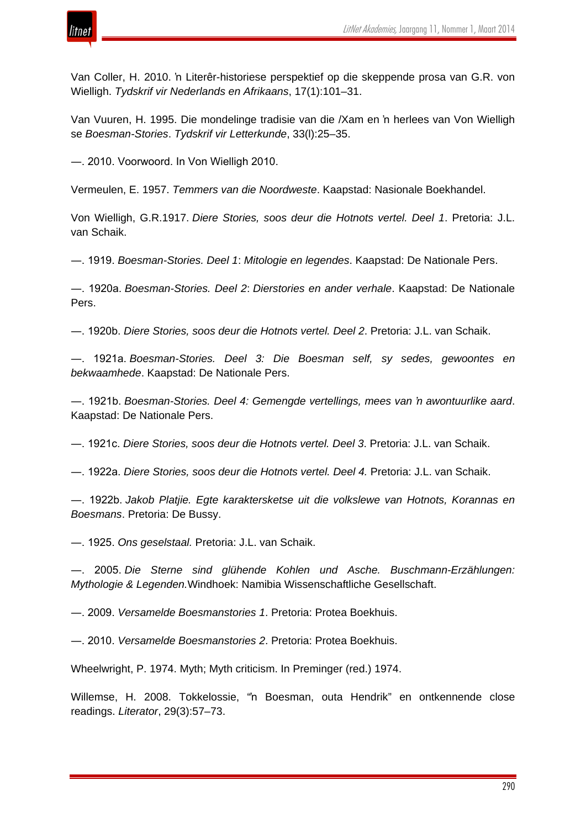

Van Coller, H. 2010. 'n Literêr-historiese perspektief op die skeppende prosa van G.R. von Wielligh. *Tydskrif vir Nederlands en Afrikaans*, 17(1):101–31.

Van Vuuren, H. 1995. Die mondelinge tradisie van die /Xam en 'n herlees van Von Wielligh se *Boesman-Stories*. *Tydskrif vir Letterkunde*, 33(l):25–35.

―. 2010. Voorwoord. In Von Wielligh 2010.

Vermeulen, E. 1957. *Temmers van die Noordweste*. Kaapstad: Nasionale Boekhandel.

Von Wielligh, G.R.1917. *Diere Stories, soos deur die Hotnots vertel. Deel 1*. Pretoria: J.L. van Schaik.

―. 1919. *Boesman-Stories. Deel 1*: *Mitologie en legendes*. Kaapstad: De Nationale Pers.

―. 1920a. *Boesman-Stories. Deel 2*: *Dierstories en ander verhale*. Kaapstad: De Nationale Pers.

―. 1920b. *Diere Stories, soos deur die Hotnots vertel. Deel 2*. Pretoria: J.L. van Schaik.

―. 1921a. *Boesman-Stories. Deel 3: Die Boesman self, sy sedes, gewoontes en bekwaamhede*. Kaapstad: De Nationale Pers.

―. 1921b. *Boesman-Stories. Deel 4: Gemengde vertellings, mees van 'n awontuurlike aard*. Kaapstad: De Nationale Pers.

―. 1921c. *Diere Stories, soos deur die Hotnots vertel. Deel 3*. Pretoria: J.L. van Schaik.

―. 1922a. *Diere Stories, soos deur die Hotnots vertel. Deel 4.* Pretoria: J.L. van Schaik.

―. 1922b. *Jakob Platjie. Egte karaktersketse uit die volkslewe van Hotnots, Korannas en Boesmans*. Pretoria: De Bussy.

―. 1925. *Ons geselstaal.* Pretoria: J.L. van Schaik.

―. 2005. *Die Sterne sind glühende Kohlen und Asche. Buschmann-Erzählungen: Mythologie & Legenden.*Windhoek: Namibia Wissenschaftliche Gesellschaft.

―. 2009. *Versamelde Boesmanstories 1*. Pretoria: Protea Boekhuis.

―. 2010. *Versamelde Boesmanstories 2*. Pretoria: Protea Boekhuis.

Wheelwright, P. 1974. Myth; Myth criticism. In Preminger (red.) 1974.

Willemse, H. 2008. Tokkelossie, "'n Boesman, outa Hendrik" en ontkennende close readings. *Literator*, 29(3):57–73.